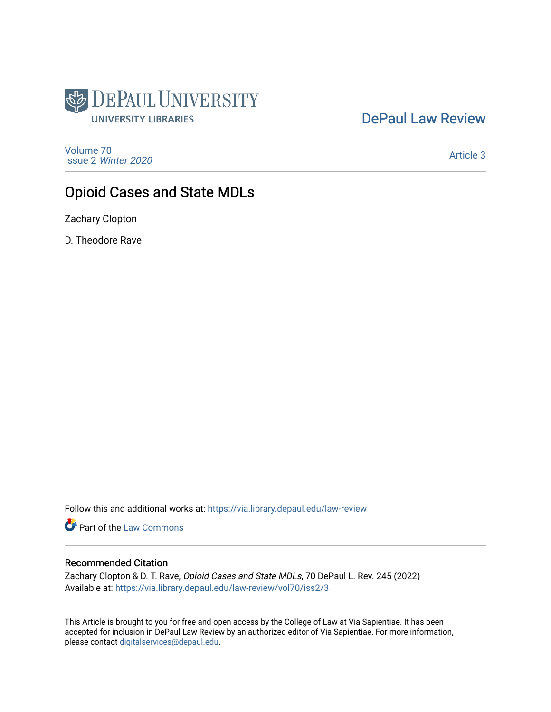

# [DePaul Law Review](https://via.library.depaul.edu/law-review)

[Volume 70](https://via.library.depaul.edu/law-review/vol70) Issue 2 [Winter 2020](https://via.library.depaul.edu/law-review/vol70/iss2) 

[Article 3](https://via.library.depaul.edu/law-review/vol70/iss2/3) 

# Opioid Cases and State MDLs

Zachary Clopton

D. Theodore Rave

Follow this and additional works at: [https://via.library.depaul.edu/law-review](https://via.library.depaul.edu/law-review?utm_source=via.library.depaul.edu%2Flaw-review%2Fvol70%2Fiss2%2F3&utm_medium=PDF&utm_campaign=PDFCoverPages) 

Part of the [Law Commons](http://network.bepress.com/hgg/discipline/578?utm_source=via.library.depaul.edu%2Flaw-review%2Fvol70%2Fiss2%2F3&utm_medium=PDF&utm_campaign=PDFCoverPages)

# Recommended Citation

Zachary Clopton & D. T. Rave, Opioid Cases and State MDLs, 70 DePaul L. Rev. 245 (2022) Available at: [https://via.library.depaul.edu/law-review/vol70/iss2/3](https://via.library.depaul.edu/law-review/vol70/iss2/3?utm_source=via.library.depaul.edu%2Flaw-review%2Fvol70%2Fiss2%2F3&utm_medium=PDF&utm_campaign=PDFCoverPages) 

This Article is brought to you for free and open access by the College of Law at Via Sapientiae. It has been accepted for inclusion in DePaul Law Review by an authorized editor of Via Sapientiae. For more information, please contact [digitalservices@depaul.edu.](mailto:digitalservices@depaul.edu)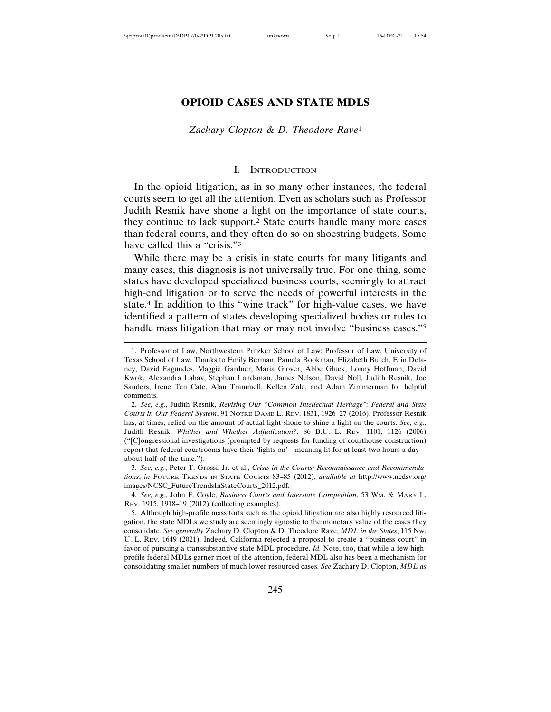# **OPIOID CASES AND STATE MDLS**

#### *Zachary Clopton & D. Theodore Rave*<sup>1</sup>

#### I. INTRODUCTION

In the opioid litigation, as in so many other instances, the federal courts seem to get all the attention. Even as scholars such as Professor Judith Resnik have shone a light on the importance of state courts, they continue to lack support.2 State courts handle many more cases than federal courts, and they often do so on shoestring budgets. Some have called this a "crisis."<sup>3</sup>

While there may be a crisis in state courts for many litigants and many cases, this diagnosis is not universally true. For one thing, some states have developed specialized business courts, seemingly to attract high-end litigation or to serve the needs of powerful interests in the state.4 In addition to this "wine track" for high-value cases, we have identified a pattern of states developing specialized bodies or rules to handle mass litigation that may or may not involve "business cases."<sup>5</sup>

3. *See, e.g.*, Peter T. Grossi, Jr. et al., *Crisis in the Courts: Reconnaissance and Recommendations*, *in* FUTURE TRENDS IN STATE COURTS 83–85 (2012), *available at* http://www.ncdsv.org/ images/NCSC\_FutureTrendsInStateCourts\_2012.pdf.

4. *See, e.g.*, John F. Coyle, *Business Courts and Interstate Competition*, 53 WM. & MARY L. REV. 1915, 1918–19 (2012) (collecting examples).

5. Although high-profile mass torts such as the opioid litigation are also highly resourced litigation, the state MDLs we study are seemingly agnostic to the monetary value of the cases they consolidate. *See generally* Zachary D. Clopton & D. Theodore Rave, *MDL in the States*, 115 NW. U. L. REV. 1649 (2021). Indeed, California rejected a proposal to create a "business court" in favor of pursuing a transsubstantive state MDL procedure. *Id.* Note, too, that while a few highprofile federal MDLs garner most of the attention, federal MDL also has been a mechanism for consolidating smaller numbers of much lower resourced cases. *See* Zachary D. Clopton, *MDL as*

<sup>1.</sup> Professor of Law, Northwestern Pritzker School of Law; Professor of Law, University of Texas School of Law. Thanks to Emily Berman, Pamela Bookman, Elizabeth Burch, Erin Delaney, David Fagundes, Maggie Gardner, Maria Glover, Abbe Gluck, Lonny Hoffman, David Kwok, Alexandra Lahav, Stephan Landsman, James Nelson, David Noll, Judith Resnik, Joe Sanders, Irene Ten Cate, Alan Trammell, Kellen Zale, and Adam Zimmerman for helpful comments.

<sup>2.</sup> *See, e.g.*, Judith Resnik, *Revising Our "Common Intellectual Heritage": Federal and State Courts in Our Federal System*, 91 NOTRE DAME L. REV. 1831, 1926–27 (2016). Professor Resnik has, at times, relied on the amount of actual light shone to shine a light on the courts. *See, e.g.*, Judith Resnik, *Whither and Whether Adjudication?*, 86 B.U. L. REV. 1101, 1126 (2006) ("[C]ongressional investigations (prompted by requests for funding of courthouse construction) report that federal courtrooms have their 'lights on'—meaning lit for at least two hours a day about half of the time.").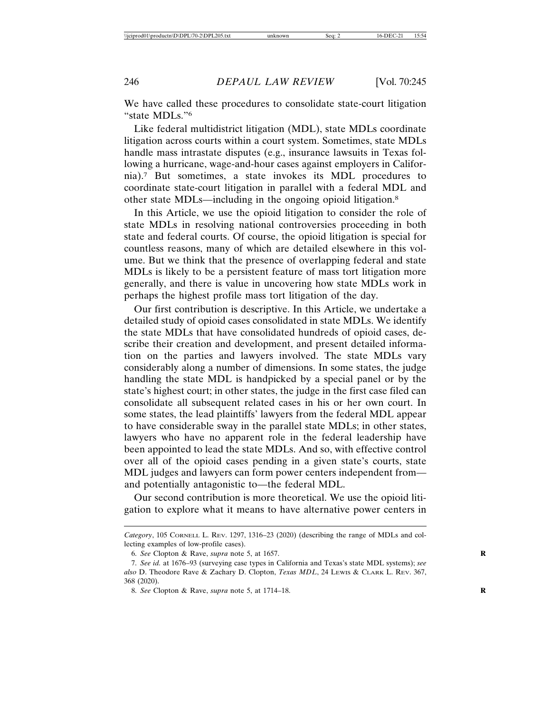We have called these procedures to consolidate state-court litigation "state MDLs."6

Like federal multidistrict litigation (MDL), state MDLs coordinate litigation across courts within a court system. Sometimes, state MDLs handle mass intrastate disputes (e.g., insurance lawsuits in Texas following a hurricane, wage-and-hour cases against employers in California).7 But sometimes, a state invokes its MDL procedures to coordinate state-court litigation in parallel with a federal MDL and other state MDLs—including in the ongoing opioid litigation.8

In this Article, we use the opioid litigation to consider the role of state MDLs in resolving national controversies proceeding in both state and federal courts. Of course, the opioid litigation is special for countless reasons, many of which are detailed elsewhere in this volume. But we think that the presence of overlapping federal and state MDLs is likely to be a persistent feature of mass tort litigation more generally, and there is value in uncovering how state MDLs work in perhaps the highest profile mass tort litigation of the day.

Our first contribution is descriptive. In this Article, we undertake a detailed study of opioid cases consolidated in state MDLs. We identify the state MDLs that have consolidated hundreds of opioid cases, describe their creation and development, and present detailed information on the parties and lawyers involved. The state MDLs vary considerably along a number of dimensions. In some states, the judge handling the state MDL is handpicked by a special panel or by the state's highest court; in other states, the judge in the first case filed can consolidate all subsequent related cases in his or her own court. In some states, the lead plaintiffs' lawyers from the federal MDL appear to have considerable sway in the parallel state MDLs; in other states, lawyers who have no apparent role in the federal leadership have been appointed to lead the state MDLs. And so, with effective control over all of the opioid cases pending in a given state's courts, state MDL judges and lawyers can form power centers independent from and potentially antagonistic to—the federal MDL.

Our second contribution is more theoretical. We use the opioid litigation to explore what it means to have alternative power centers in

*Category*, 105 CORNELL L. REV. 1297, 1316–23 (2020) (describing the range of MDLs and collecting examples of low-profile cases).

<sup>6.</sup> *See* Clopton & Rave, *supra* note 5, at 1657. **R**

<sup>7.</sup> *See id.* at 1676–93 (surveying case types in California and Texas's state MDL systems); *see also* D. Theodore Rave & Zachary D. Clopton, *Texas MDL*, 24 LEWIS & CLARK L. REV. 367, 368 (2020).

<sup>8.</sup> *See* Clopton & Rave, *supra* note 5, at 1714–18. **R**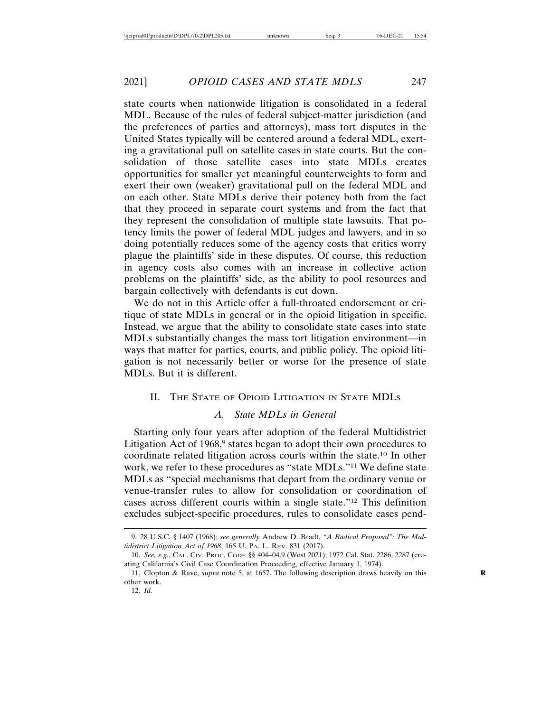state courts when nationwide litigation is consolidated in a federal MDL. Because of the rules of federal subject-matter jurisdiction (and the preferences of parties and attorneys), mass tort disputes in the United States typically will be centered around a federal MDL, exerting a gravitational pull on satellite cases in state courts. But the consolidation of those satellite cases into state MDLs creates opportunities for smaller yet meaningful counterweights to form and exert their own (weaker) gravitational pull on the federal MDL and on each other. State MDLs derive their potency both from the fact that they proceed in separate court systems and from the fact that they represent the consolidation of multiple state lawsuits. That potency limits the power of federal MDL judges and lawyers, and in so doing potentially reduces some of the agency costs that critics worry plague the plaintiffs' side in these disputes. Of course, this reduction in agency costs also comes with an increase in collective action problems on the plaintiffs' side, as the ability to pool resources and bargain collectively with defendants is cut down.

We do not in this Article offer a full-throated endorsement or critique of state MDLs in general or in the opioid litigation in specific. Instead, we argue that the ability to consolidate state cases into state MDLs substantially changes the mass tort litigation environment—in ways that matter for parties, courts, and public policy. The opioid litigation is not necessarily better or worse for the presence of state MDLs. But it is different.

### II. THE STATE OF OPIOID LITIGATION IN STATE MDLS

# *A. State MDLs in General*

Starting only four years after adoption of the federal Multidistrict Litigation Act of 1968,<sup>9</sup> states began to adopt their own procedures to coordinate related litigation across courts within the state.10 In other work, we refer to these procedures as "state MDLs."11 We define state MDLs as "special mechanisms that depart from the ordinary venue or venue-transfer rules to allow for consolidation or coordination of cases across different courts within a single state."12 This definition excludes subject-specific procedures, rules to consolidate cases pend-

<sup>9. 28</sup> U.S.C. § 1407 (1968); *see generally* Andrew D. Bradt, *"A Radical Proposal": The Multidistrict Litigation Act of 1968*, 165 U. PA. L. REV. 831 (2017).

<sup>10.</sup> *See, e.g.*, CAL. CIV. PROC. CODE §§ 404–04.9 (West 2021); 1972 Cal. Stat. 2286, 2287 (creating California's Civil Case Coordination Proceeding, effective January 1, 1974).

<sup>11.</sup> Clopton & Rave, *supra* note 5, at 1657. The following description draws heavily on this **R** other work.

<sup>12.</sup> *Id.*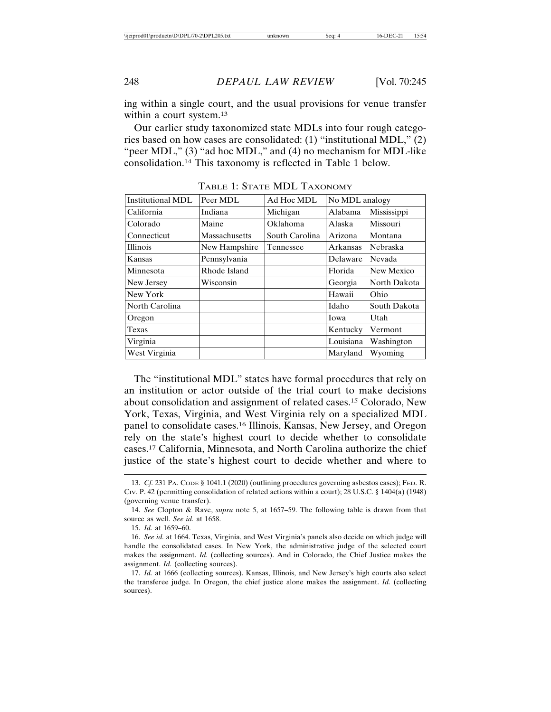ing within a single court, and the usual provisions for venue transfer within a court system.<sup>13</sup>

Our earlier study taxonomized state MDLs into four rough categories based on how cases are consolidated: (1) "institutional MDL," (2) "peer MDL," (3) "ad hoc MDL," and (4) no mechanism for MDL-like consolidation.14 This taxonomy is reflected in Table 1 below.

| Institutional MDL | Peer MDL      | Ad Hoc MDL     | No MDL analogy |                 |
|-------------------|---------------|----------------|----------------|-----------------|
| California        | Indiana       | Michigan       | Alabama        | Mississippi     |
| Colorado          | Maine         | Oklahoma       | Alaska         | Missouri        |
| Connecticut       | Massachusetts | South Carolina | Arizona        | Montana         |
| <b>Illinois</b>   | New Hampshire | Tennessee      | Arkansas       | <b>Nebraska</b> |
| Kansas            | Pennsylvania  |                | Delaware       | Nevada          |
| Minnesota         | Rhode Island  |                | Florida        | New Mexico      |
| New Jersey        | Wisconsin     |                | Georgia        | North Dakota    |
| New York          |               |                | Hawaii         | Ohio            |
| North Carolina    |               |                | Idaho          | South Dakota    |
| Oregon            |               |                | Iowa           | Utah            |
| Texas             |               |                | Kentucky       | Vermont         |
| Virginia          |               |                | Louisiana      | Washington      |
| West Virginia     |               |                | Maryland       | Wyoming         |

TABLE 1: STATE MDL TAXONOMY

The "institutional MDL" states have formal procedures that rely on an institution or actor outside of the trial court to make decisions about consolidation and assignment of related cases.15 Colorado, New York, Texas, Virginia, and West Virginia rely on a specialized MDL panel to consolidate cases.16 Illinois, Kansas, New Jersey, and Oregon rely on the state's highest court to decide whether to consolidate cases.17 California, Minnesota, and North Carolina authorize the chief justice of the state's highest court to decide whether and where to

<sup>13.</sup> *Cf.* 231 PA. CODE § 1041.1 (2020) (outlining procedures governing asbestos cases); FED. R. CIV. P. 42 (permitting consolidation of related actions within a court); 28 U.S.C. § 1404(a) (1948) (governing venue transfer).

<sup>14.</sup> *See* Clopton & Rave, *supra* note 5, at 1657–59. The following table is drawn from that source as well. *See id.* at 1658.

<sup>15.</sup> *Id.* at 1659–60.

<sup>16.</sup> *See id.* at 1664. Texas, Virginia, and West Virginia's panels also decide on which judge will handle the consolidated cases. In New York, the administrative judge of the selected court makes the assignment. *Id.* (collecting sources). And in Colorado, the Chief Justice makes the assignment. *Id.* (collecting sources).

<sup>17.</sup> *Id.* at 1666 (collecting sources). Kansas, Illinois, and New Jersey's high courts also select the transferee judge. In Oregon, the chief justice alone makes the assignment. *Id.* (collecting sources).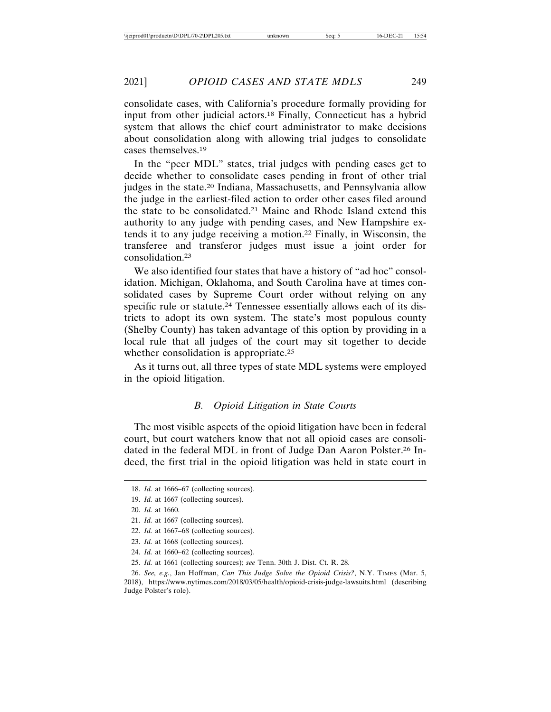consolidate cases, with California's procedure formally providing for input from other judicial actors.18 Finally, Connecticut has a hybrid system that allows the chief court administrator to make decisions about consolidation along with allowing trial judges to consolidate cases themselves.19

In the "peer MDL" states, trial judges with pending cases get to decide whether to consolidate cases pending in front of other trial judges in the state.20 Indiana, Massachusetts, and Pennsylvania allow the judge in the earliest-filed action to order other cases filed around the state to be consolidated.21 Maine and Rhode Island extend this authority to any judge with pending cases, and New Hampshire extends it to any judge receiving a motion.22 Finally, in Wisconsin, the transferee and transferor judges must issue a joint order for consolidation.23

We also identified four states that have a history of "ad hoc" consolidation. Michigan, Oklahoma, and South Carolina have at times consolidated cases by Supreme Court order without relying on any specific rule or statute.24 Tennessee essentially allows each of its districts to adopt its own system. The state's most populous county (Shelby County) has taken advantage of this option by providing in a local rule that all judges of the court may sit together to decide whether consolidation is appropriate.<sup>25</sup>

As it turns out, all three types of state MDL systems were employed in the opioid litigation.

### *B. Opioid Litigation in State Courts*

The most visible aspects of the opioid litigation have been in federal court, but court watchers know that not all opioid cases are consolidated in the federal MDL in front of Judge Dan Aaron Polster.26 Indeed, the first trial in the opioid litigation was held in state court in

- 24. *Id.* at 1660–62 (collecting sources).
- 25. *Id.* at 1661 (collecting sources); *see* Tenn. 30th J. Dist. Ct. R. 28.

<sup>18.</sup> *Id.* at 1666–67 (collecting sources).

<sup>19.</sup> *Id.* at 1667 (collecting sources).

<sup>20.</sup> *Id.* at 1660.

<sup>21.</sup> *Id.* at 1667 (collecting sources).

<sup>22.</sup> *Id.* at 1667–68 (collecting sources).

<sup>23.</sup> *Id.* at 1668 (collecting sources).

<sup>26.</sup> *See, e.g.*, Jan Hoffman, *Can This Judge Solve the Opioid Crisis?*, N.Y. TIMES (Mar. 5, 2018), https://www.nytimes.com/2018/03/05/health/opioid-crisis-judge-lawsuits.html (describing Judge Polster's role).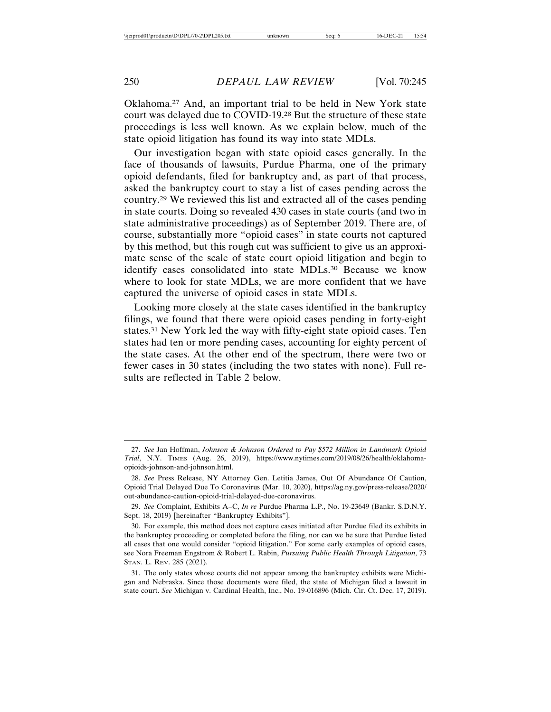Oklahoma.27 And, an important trial to be held in New York state court was delayed due to COVID-19.28 But the structure of these state proceedings is less well known. As we explain below, much of the state opioid litigation has found its way into state MDLs.

Our investigation began with state opioid cases generally. In the face of thousands of lawsuits, Purdue Pharma, one of the primary opioid defendants, filed for bankruptcy and, as part of that process, asked the bankruptcy court to stay a list of cases pending across the country.29 We reviewed this list and extracted all of the cases pending in state courts. Doing so revealed 430 cases in state courts (and two in state administrative proceedings) as of September 2019. There are, of course, substantially more "opioid cases" in state courts not captured by this method, but this rough cut was sufficient to give us an approximate sense of the scale of state court opioid litigation and begin to identify cases consolidated into state MDLs.30 Because we know where to look for state MDLs, we are more confident that we have captured the universe of opioid cases in state MDLs.

Looking more closely at the state cases identified in the bankruptcy filings, we found that there were opioid cases pending in forty-eight states.31 New York led the way with fifty-eight state opioid cases. Ten states had ten or more pending cases, accounting for eighty percent of the state cases. At the other end of the spectrum, there were two or fewer cases in 30 states (including the two states with none). Full results are reflected in Table 2 below.

<sup>27.</sup> *See* Jan Hoffman, *Johnson & Johnson Ordered to Pay \$572 Million in Landmark Opioid Trial*, N.Y. TIMES (Aug. 26, 2019), https://www.nytimes.com/2019/08/26/health/oklahomaopioids-johnson-and-johnson.html.

<sup>28.</sup> *See* Press Release, NY Attorney Gen. Letitia James, Out Of Abundance Of Caution, Opioid Trial Delayed Due To Coronavirus (Mar. 10, 2020), https://ag.ny.gov/press-release/2020/ out-abundance-caution-opioid-trial-delayed-due-coronavirus.

<sup>29.</sup> *See* Complaint, Exhibits A–C, *In re* Purdue Pharma L.P., No. 19-23649 (Bankr. S.D.N.Y. Sept. 18, 2019) [hereinafter "Bankruptcy Exhibits"].

<sup>30.</sup> For example, this method does not capture cases initiated after Purdue filed its exhibits in the bankruptcy proceeding or completed before the filing, nor can we be sure that Purdue listed all cases that one would consider "opioid litigation." For some early examples of opioid cases, see Nora Freeman Engstrom & Robert L. Rabin, *Pursuing Public Health Through Litigation*, 73 STAN. L. REV. 285 (2021).

<sup>31.</sup> The only states whose courts did not appear among the bankruptcy exhibits were Michigan and Nebraska. Since those documents were filed, the state of Michigan filed a lawsuit in state court. *See* Michigan v. Cardinal Health, Inc., No. 19-016896 (Mich. Cir. Ct. Dec. 17, 2019).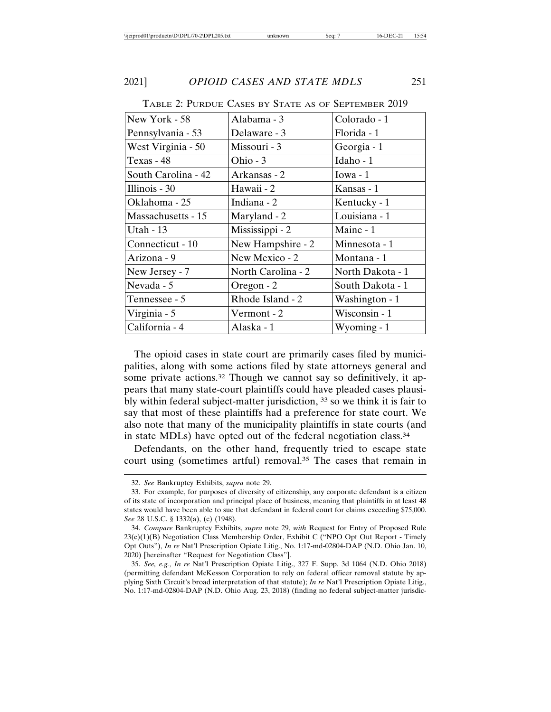| New York - 58       | Alabama - 3        | Colorado - 1     |  |
|---------------------|--------------------|------------------|--|
| Pennsylvania - 53   | Delaware - 3       | Florida - 1      |  |
| West Virginia - 50  | Missouri - 3       | Georgia - 1      |  |
| Texas - 48          | Ohio - 3           | Idaho - 1        |  |
| South Carolina - 42 | Arkansas - 2       | Iowa $-1$        |  |
| Illinois - 30       | Hawaii - 2         | Kansas - 1       |  |
| Oklahoma - 25       | Indiana - 2        | Kentucky - 1     |  |
| Massachusetts - 15  | Maryland - 2       | Louisiana - 1    |  |
| Utah - $13$         | Mississippi - 2    | Maine - 1        |  |
| Connecticut - 10    | New Hampshire - 2  | Minnesota - 1    |  |
| Arizona - 9         | New Mexico - 2     | Montana - 1      |  |
| New Jersey - 7      | North Carolina - 2 | North Dakota - 1 |  |
| Nevada - 5          | Oregon - 2         | South Dakota - 1 |  |
| Tennessee - 5       | Rhode Island - 2   | Washington - 1   |  |
| Virginia - 5        | Vermont - 2        | Wisconsin - 1    |  |
| California - 4      | Alaska - 1         | Wyoming - 1      |  |

TABLE 2: PURDUE CASES BY STATE AS OF SEPTEMBER 2019

The opioid cases in state court are primarily cases filed by municipalities, along with some actions filed by state attorneys general and some private actions.<sup>32</sup> Though we cannot say so definitively, it appears that many state-court plaintiffs could have pleaded cases plausibly within federal subject-matter jurisdiction, 33 so we think it is fair to say that most of these plaintiffs had a preference for state court. We also note that many of the municipality plaintiffs in state courts (and in state MDLs) have opted out of the federal negotiation class.34

Defendants, on the other hand, frequently tried to escape state court using (sometimes artful) removal.35 The cases that remain in

<sup>32.</sup> *See* Bankruptcy Exhibits, *supra* note 29.

<sup>33.</sup> For example, for purposes of diversity of citizenship, any corporate defendant is a citizen of its state of incorporation and principal place of business, meaning that plaintiffs in at least 48 states would have been able to sue that defendant in federal court for claims exceeding \$75,000. *See* 28 U.S.C. § 1332(a), (c) (1948).

<sup>34.</sup> *Compare* Bankruptcy Exhibits, *supra* note 29, *with* Request for Entry of Proposed Rule 23(c)(1)(B) Negotiation Class Membership Order, Exhibit C ("NPO Opt Out Report - Timely Opt Outs"), *In re* Nat'l Prescription Opiate Litig., No. 1:17-md-02804-DAP (N.D. Ohio Jan. 10, 2020) [hereinafter "Request for Negotiation Class"].

<sup>35.</sup> *See, e.g.*, *In re* Nat'l Prescription Opiate Litig., 327 F. Supp. 3d 1064 (N.D. Ohio 2018) (permitting defendant McKesson Corporation to rely on federal officer removal statute by applying Sixth Circuit's broad interpretation of that statute); *In re* Nat'l Prescription Opiate Litig., No. 1:17-md-02804-DAP (N.D. Ohio Aug. 23, 2018) (finding no federal subject-matter jurisdic-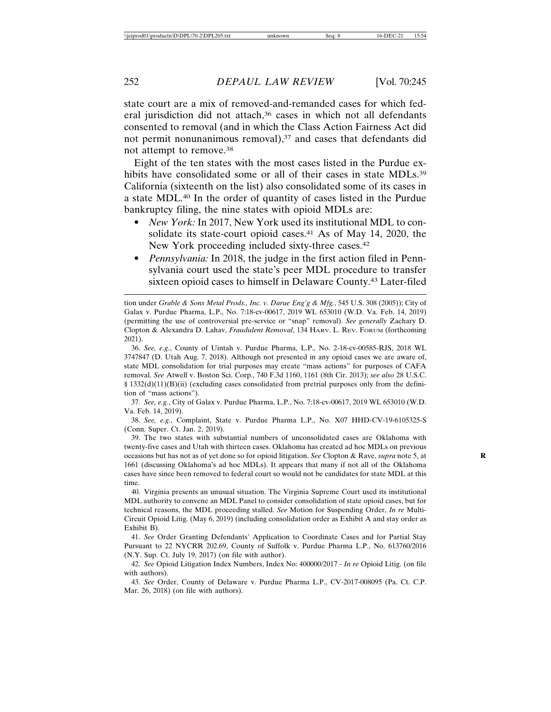state court are a mix of removed-and-remanded cases for which federal jurisdiction did not attach,<sup>36</sup> cases in which not all defendants consented to removal (and in which the Class Action Fairness Act did not permit nonunanimous removal),<sup>37</sup> and cases that defendants did not attempt to remove.38

Eight of the ten states with the most cases listed in the Purdue exhibits have consolidated some or all of their cases in state MDLs.<sup>39</sup> California (sixteenth on the list) also consolidated some of its cases in a state MDL.40 In the order of quantity of cases listed in the Purdue bankruptcy filing, the nine states with opioid MDLs are:

- *New York:* In 2017, New York used its institutional MDL to consolidate its state-court opioid cases.<sup>41</sup> As of May 14, 2020, the New York proceeding included sixty-three cases.42
- *Pennsylvania:* In 2018, the judge in the first action filed in Pennsylvania court used the state's peer MDL procedure to transfer sixteen opioid cases to himself in Delaware County.43 Later-filed

37. *See, e.g.*, City of Galax v. Purdue Pharma, L.P., No. 7:18-cv-00617, 2019 WL 653010 (W.D. Va. Feb. 14, 2019).

38. *See, e.g.*, Complaint, State v. Purdue Pharma L.P., No. X07 HHD-CV-19-6105325-S (Conn. Super. Ct. Jan. 2, 2019).

39. The two states with substantial numbers of unconsolidated cases are Oklahoma with twenty-five cases and Utah with thirteen cases. Oklahoma has created ad hoc MDLs on previous occasions but has not as of yet done so for opioid litigation. *See* Clopton & Rave, *supra* note 5, at **R** 1661 (discussing Oklahoma's ad hoc MDLs). It appears that many if not all of the Oklahoma cases have since been removed to federal court so would not be candidates for state MDL at this time.

40. Virginia presents an unusual situation. The Virginia Supreme Court used its institutional MDL authority to convene an MDL Panel to consider consolidation of state opioid cases, but for technical reasons, the MDL proceeding stalled. *See* Motion for Suspending Order, *In re* Multi-Circuit Opioid Litig. (May 6, 2019) (including consolidation order as Exhibit A and stay order as Exhibit B).

41. *See* Order Granting Defendants' Application to Coordinate Cases and for Partial Stay Pursuant to 22 NYCRR 202.69, County of Suffolk v. Purdue Pharma L.P., No. 613760/2016 (N.Y. Sup. Ct. July 19, 2017) (on file with author).

42. *See* Opioid Litigation Index Numbers, Index No: 400000/2017 - *In re* Opioid Litig. (on file with authors).

43. *See* Order, County of Delaware v. Purdue Pharma L.P., CV-2017-008095 (Pa. Ct. C.P. Mar. 26, 2018) (on file with authors).

tion under *Grable & Sons Metal Prods., Inc. v. Darue Eng'g & Mfg.*, 545 U.S. 308 (2005)); City of Galax v. Purdue Pharma, L.P., No. 7:18-cv-00617, 2019 WL 653010 (W.D. Va. Feb. 14, 2019) (permitting the use of controversial pre-service or "snap" removal). *See generally* Zachary D. Clopton & Alexandra D. Lahav, *Fraudulent Removal*, 134 HARV. L. REV. FORUM (forthcoming 2021).

<sup>36.</sup> *See, e.g.*, County of Uintah v. Purdue Pharma, L.P., No. 2-18-cv-00585-RJS, 2018 WL 3747847 (D. Utah Aug. 7, 2018). Although not presented in any opioid cases we are aware of, state MDL consolidation for trial purposes may create "mass actions" for purposes of CAFA removal. *See* Atwell v. Boston Sci. Corp., 740 F.3d 1160, 1161 (8th Cir. 2013); *see also* 28 U.S.C. § 1332(d)(11)(B)(ii) (excluding cases consolidated from pretrial purposes only from the definition of "mass actions").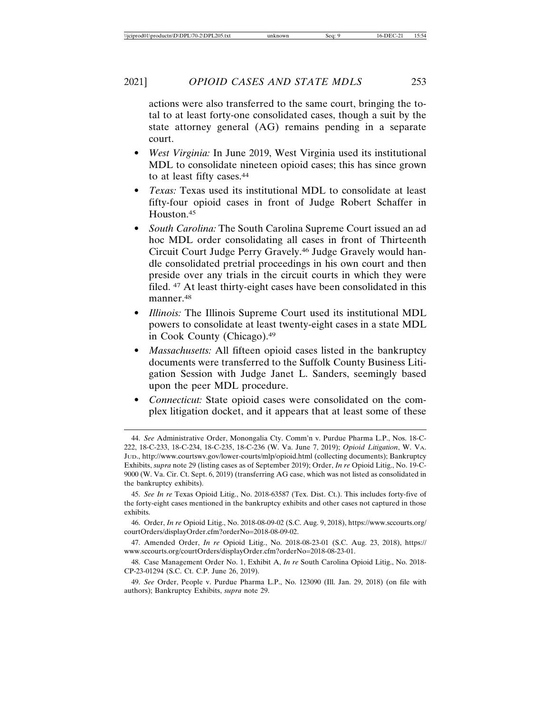actions were also transferred to the same court, bringing the total to at least forty-one consolidated cases, though a suit by the state attorney general (AG) remains pending in a separate court.

- *West Virginia:* In June 2019, West Virginia used its institutional MDL to consolidate nineteen opioid cases; this has since grown to at least fifty cases.44
- *Texas:* Texas used its institutional MDL to consolidate at least fifty-four opioid cases in front of Judge Robert Schaffer in Houston.45
- *South Carolina:* The South Carolina Supreme Court issued an ad hoc MDL order consolidating all cases in front of Thirteenth Circuit Court Judge Perry Gravely.46 Judge Gravely would handle consolidated pretrial proceedings in his own court and then preside over any trials in the circuit courts in which they were filed. 47 At least thirty-eight cases have been consolidated in this manner.48
- *Illinois:* The Illinois Supreme Court used its institutional MDL powers to consolidate at least twenty-eight cases in a state MDL in Cook County (Chicago).49
- *Massachusetts:* All fifteen opioid cases listed in the bankruptcy documents were transferred to the Suffolk County Business Litigation Session with Judge Janet L. Sanders, seemingly based upon the peer MDL procedure.
- *Connecticut:* State opioid cases were consolidated on the complex litigation docket, and it appears that at least some of these

45. *See In re* Texas Opioid Litig., No. 2018-63587 (Tex. Dist. Ct.). This includes forty-five of the forty-eight cases mentioned in the bankruptcy exhibits and other cases not captured in those exhibits.

46. Order, *In re* Opioid Litig., No. 2018-08-09-02 (S.C. Aug. 9, 2018), https://www.sccourts.org/ courtOrders/displayOrder.cfm?orderNo=2018-08-09-02.

47. Amended Order, *In re* Opioid Litig., No. 2018-08-23-01 (S.C. Aug. 23, 2018), https:// www.sccourts.org/courtOrders/displayOrder.cfm?orderNo=2018-08-23-01.

48. Case Management Order No. 1, Exhibit A, *In re* South Carolina Opioid Litig., No. 2018- CP-23-01294 (S.C. Ct. C.P. June 26, 2019).

49. *See* Order, People v. Purdue Pharma L.P., No. 123090 (Ill. Jan. 29, 2018) (on file with authors); Bankruptcy Exhibits, *supra* note 29.

<sup>44.</sup> *See* Administrative Order, Monongalia Cty. Comm'n v. Purdue Pharma L.P., Nos. 18-C-222, 18-C-233, 18-C-234, 18-C-235, 18-C-236 (W. Va. June 7, 2019); *Opioid Litigation*, W. VA. JUD., http://www.courtswv.gov/lower-courts/mlp/opioid.html (collecting documents); Bankruptcy Exhibits, *supra* note 29 (listing cases as of September 2019); Order, *In re* Opioid Litig., No. 19-C-9000 (W. Va. Cir. Ct. Sept. 6, 2019) (transferring AG case, which was not listed as consolidated in the bankruptcy exhibits).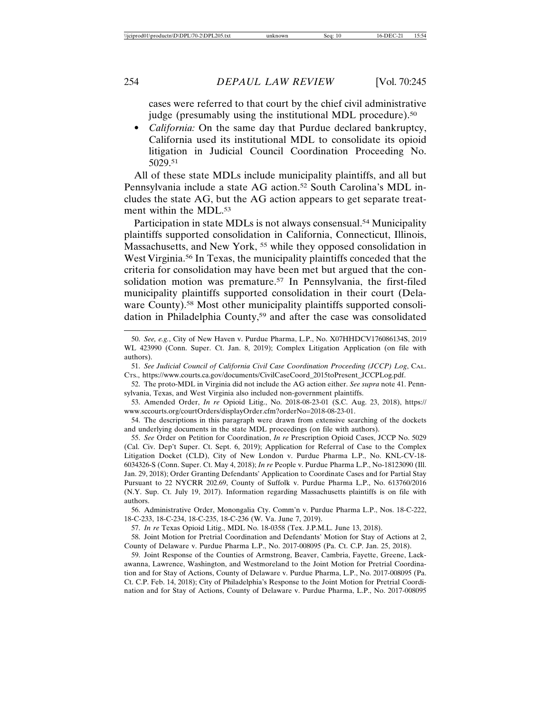cases were referred to that court by the chief civil administrative judge (presumably using the institutional MDL procedure).<sup>50</sup>

• *California:* On the same day that Purdue declared bankruptcy, California used its institutional MDL to consolidate its opioid litigation in Judicial Council Coordination Proceeding No. 5029.51

All of these state MDLs include municipality plaintiffs, and all but Pennsylvania include a state AG action.52 South Carolina's MDL includes the state AG, but the AG action appears to get separate treatment within the MDL.<sup>53</sup>

Participation in state MDLs is not always consensual.<sup>54</sup> Municipality plaintiffs supported consolidation in California, Connecticut, Illinois, Massachusetts, and New York, 55 while they opposed consolidation in West Virginia.56 In Texas, the municipality plaintiffs conceded that the criteria for consolidation may have been met but argued that the consolidation motion was premature.<sup>57</sup> In Pennsylvania, the first-filed municipality plaintiffs supported consolidation in their court (Delaware County).<sup>58</sup> Most other municipality plaintiffs supported consolidation in Philadelphia County,59 and after the case was consolidated

51. *See Judicial Council of California Civil Case Coordination Proceeding (JCCP) Log*, CAL. CTS., https://www.courts.ca.gov/documents/CivilCaseCoord\_2015toPresent\_JCCPLog.pdf.

52. The proto-MDL in Virginia did not include the AG action either. *See supra* note 41. Pennsylvania, Texas, and West Virginia also included non-government plaintiffs.

54. The descriptions in this paragraph were drawn from extensive searching of the dockets and underlying documents in the state MDL proceedings (on file with authors).

55. *See* Order on Petition for Coordination, *In re* Prescription Opioid Cases, JCCP No. 5029 (Cal. Civ. Dep't Super. Ct. Sept. 6, 2019); Application for Referral of Case to the Complex Litigation Docket (CLD), City of New London v. Purdue Pharma L.P., No. KNL-CV-18- 6034326-S (Conn. Super. Ct. May 4, 2018); *In re* People v. Purdue Pharma L.P., No-18123090 (Ill. Jan. 29, 2018); Order Granting Defendants' Application to Coordinate Cases and for Partial Stay Pursuant to 22 NYCRR 202.69, County of Suffolk v. Purdue Pharma L.P., No. 613760/2016 (N.Y. Sup. Ct. July 19, 2017). Information regarding Massachusetts plaintiffs is on file with authors.

56. Administrative Order, Monongalia Cty. Comm'n v. Purdue Pharma L.P., Nos. 18-C-222, 18-C-233, 18-C-234, 18-C-235, 18-C-236 (W. Va. June 7, 2019).

57. *In re* Texas Opioid Litig., MDL No. 18-0358 (Tex. J.P.M.L. June 13, 2018).

58. Joint Motion for Pretrial Coordination and Defendants' Motion for Stay of Actions at 2, County of Delaware v. Purdue Pharma L.P., No. 2017-008095 (Pa. Ct. C.P. Jan. 25, 2018).

59. Joint Response of the Counties of Armstrong, Beaver, Cambria, Fayette, Greene, Lackawanna, Lawrence, Washington, and Westmoreland to the Joint Motion for Pretrial Coordination and for Stay of Actions, County of Delaware v. Purdue Pharma, L.P., No. 2017-008095 (Pa. Ct. C.P. Feb. 14, 2018); City of Philadelphia's Response to the Joint Motion for Pretrial Coordination and for Stay of Actions, County of Delaware v. Purdue Pharma, L.P., No. 2017-008095

<sup>50.</sup> *See, e.g.*, City of New Haven v. Purdue Pharma, L.P., No. X07HHDCV176086134S, 2019 WL 423990 (Conn. Super. Ct. Jan. 8, 2019); Complex Litigation Application (on file with authors).

<sup>53.</sup> Amended Order, *In re* Opioid Litig., No. 2018-08-23-01 (S.C. Aug. 23, 2018), https:// www.sccourts.org/courtOrders/displayOrder.cfm?orderNo=2018-08-23-01.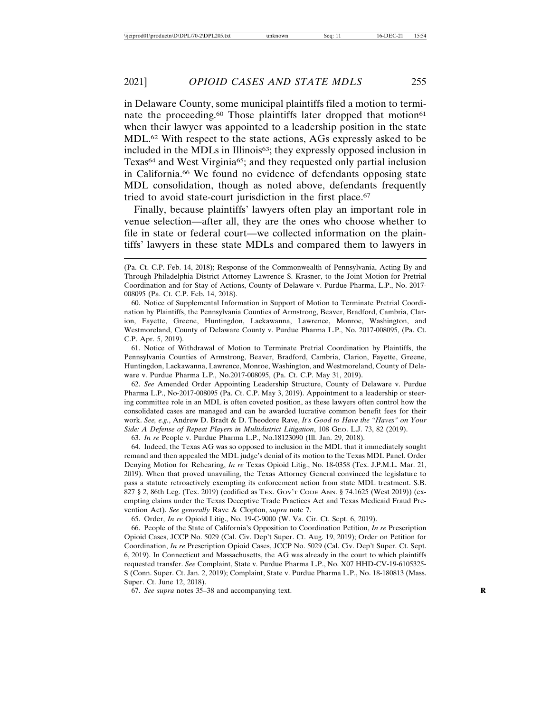in Delaware County, some municipal plaintiffs filed a motion to terminate the proceeding.<sup>60</sup> Those plaintiffs later dropped that motion<sup>61</sup> when their lawyer was appointed to a leadership position in the state MDL.62 With respect to the state actions, AGs expressly asked to be included in the MDLs in Illinois63; they expressly opposed inclusion in Texas<sup>64</sup> and West Virginia<sup>65</sup>; and they requested only partial inclusion in California.66 We found no evidence of defendants opposing state MDL consolidation, though as noted above, defendants frequently tried to avoid state-court jurisdiction in the first place.<sup>67</sup>

Finally, because plaintiffs' lawyers often play an important role in venue selection—after all, they are the ones who choose whether to file in state or federal court—we collected information on the plaintiffs' lawyers in these state MDLs and compared them to lawyers in

60. Notice of Supplemental Information in Support of Motion to Terminate Pretrial Coordination by Plaintiffs, the Pennsylvania Counties of Armstrong, Beaver, Bradford, Cambria, Clarion, Fayette, Greene, Huntingdon, Lackawanna, Lawrence, Monroe, Washington, and Westmoreland, County of Delaware County v. Purdue Pharma L.P., No. 2017-008095, (Pa. Ct. C.P. Apr. 5, 2019).

61. Notice of Withdrawal of Motion to Terminate Pretrial Coordination by Plaintiffs, the Pennsylvania Counties of Armstrong, Beaver, Bradford, Cambria, Clarion, Fayette, Greene, Huntingdon, Lackawanna, Lawrence, Monroe, Washington, and Westmoreland, County of Delaware v. Purdue Pharma L.P., No.2017-008095, (Pa. Ct. C.P. May 31, 2019).

62. *See* Amended Order Appointing Leadership Structure, County of Delaware v. Purdue Pharma L.P., No-2017-008095 (Pa. Ct. C.P. May 3, 2019). Appointment to a leadership or steering committee role in an MDL is often coveted position, as these lawyers often control how the consolidated cases are managed and can be awarded lucrative common benefit fees for their work. *See, e.g.*, Andrew D. Bradt & D. Theodore Rave, *It's Good to Have the "Haves" on Your Side: A Defense of Repeat Players in Multidistrict Litigation*, 108 GEO. L.J. 73, 82 (2019).

63. *In re* People v. Purdue Pharma L.P., No.18123090 (Ill. Jan. 29, 2018).

64. Indeed, the Texas AG was so opposed to inclusion in the MDL that it immediately sought remand and then appealed the MDL judge's denial of its motion to the Texas MDL Panel. Order Denying Motion for Rehearing, *In re* Texas Opioid Litig., No. 18-0358 (Tex. J.P.M.L. Mar. 21, 2019). When that proved unavailing, the Texas Attorney General convinced the legislature to pass a statute retroactively exempting its enforcement action from state MDL treatment. S.B. 827 § 2, 86th Leg. (Tex. 2019) (codified as TEx. Gov't Code Ann. § 74.1625 (West 2019)) (exempting claims under the Texas Deceptive Trade Practices Act and Texas Medicaid Fraud Prevention Act). *See generally* Rave & Clopton, *supra* note 7.

65. Order, *In re* Opioid Litig., No. 19-C-9000 (W. Va. Cir. Ct. Sept. 6, 2019).

66. People of the State of California's Opposition to Coordination Petition, *In re* Prescription Opioid Cases, JCCP No. 5029 (Cal. Civ. Dep't Super. Ct. Aug. 19, 2019); Order on Petition for Coordination, *In re* Prescription Opioid Cases, JCCP No. 5029 (Cal. Civ. Dep't Super. Ct. Sept. 6, 2019). In Connecticut and Massachusetts, the AG was already in the court to which plaintiffs requested transfer. *See* Complaint, State v. Purdue Pharma L.P., No. X07 HHD-CV-19-6105325- S (Conn. Super. Ct. Jan. 2, 2019); Complaint, State v. Purdue Pharma L.P., No. 18-180813 (Mass. Super. Ct. June 12, 2018).

67. *See supra* notes 35–38 and accompanying text. **R**

<sup>(</sup>Pa. Ct. C.P. Feb. 14, 2018); Response of the Commonwealth of Pennsylvania, Acting By and Through Philadelphia District Attorney Lawrence S. Krasner, to the Joint Motion for Pretrial Coordination and for Stay of Actions, County of Delaware v. Purdue Pharma, L.P., No. 2017- 008095 (Pa. Ct. C.P. Feb. 14, 2018).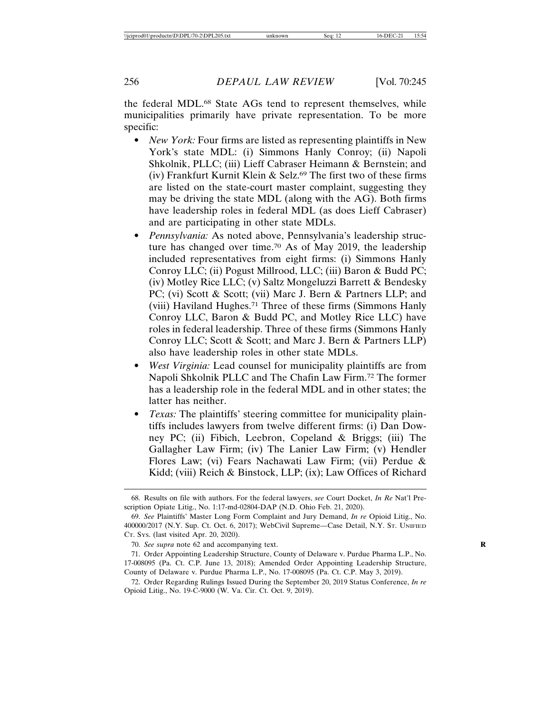the federal MDL.68 State AGs tend to represent themselves, while municipalities primarily have private representation. To be more specific:

- *New York:* Four firms are listed as representing plaintiffs in New York's state MDL: (i) Simmons Hanly Conroy; (ii) Napoli Shkolnik, PLLC; (iii) Lieff Cabraser Heimann & Bernstein; and (iv) Frankfurt Kurnit Klein & Selz.<sup>69</sup> The first two of these firms are listed on the state-court master complaint, suggesting they may be driving the state MDL (along with the AG). Both firms have leadership roles in federal MDL (as does Lieff Cabraser) and are participating in other state MDLs.
- *Pennsylvania:* As noted above, Pennsylvania's leadership structure has changed over time.70 As of May 2019, the leadership included representatives from eight firms: (i) Simmons Hanly Conroy LLC; (ii) Pogust Millrood, LLC; (iii) Baron & Budd PC; (iv) Motley Rice LLC; (v) Saltz Mongeluzzi Barrett & Bendesky PC; (vi) Scott & Scott; (vii) Marc J. Bern & Partners LLP; and (viii) Haviland Hughes.71 Three of these firms (Simmons Hanly Conroy LLC, Baron & Budd PC, and Motley Rice LLC) have roles in federal leadership. Three of these firms (Simmons Hanly Conroy LLC; Scott & Scott; and Marc J. Bern & Partners LLP) also have leadership roles in other state MDLs.
- *West Virginia:* Lead counsel for municipality plaintiffs are from Napoli Shkolnik PLLC and The Chafin Law Firm.72 The former has a leadership role in the federal MDL and in other states; the latter has neither.
- *Texas:* The plaintiffs' steering committee for municipality plaintiffs includes lawyers from twelve different firms: (i) Dan Downey PC; (ii) Fibich, Leebron, Copeland & Briggs; (iii) The Gallagher Law Firm; (iv) The Lanier Law Firm; (v) Hendler Flores Law; (vi) Fears Nachawati Law Firm; (vii) Perdue & Kidd; (viii) Reich & Binstock, LLP; (ix); Law Offices of Richard

<sup>68.</sup> Results on file with authors. For the federal lawyers, *see* Court Docket, *In Re* Nat'l Prescription Opiate Litig., No. 1:17-md-02804-DAP (N.D. Ohio Feb. 21, 2020).

<sup>69.</sup> *See* Plaintiffs' Master Long Form Complaint and Jury Demand, *In re* Opioid Litig., No. 400000/2017 (N.Y. Sup. Ct. Oct. 6, 2017); WebCivil Supreme—Case Detail, N.Y. ST. UNIFIED CT. SYS. (last visited Apr. 20, 2020).

<sup>70.</sup> *See supra* note 62 and accompanying text. **R**

<sup>71.</sup> Order Appointing Leadership Structure, County of Delaware v. Purdue Pharma L.P., No. 17-008095 (Pa. Ct. C.P. June 13, 2018); Amended Order Appointing Leadership Structure, County of Delaware v. Purdue Pharma L.P., No. 17-008095 (Pa. Ct. C.P. May 3, 2019).

<sup>72.</sup> Order Regarding Rulings Issued During the September 20, 2019 Status Conference, *In re* Opioid Litig., No. 19-C-9000 (W. Va. Cir. Ct. Oct. 9, 2019).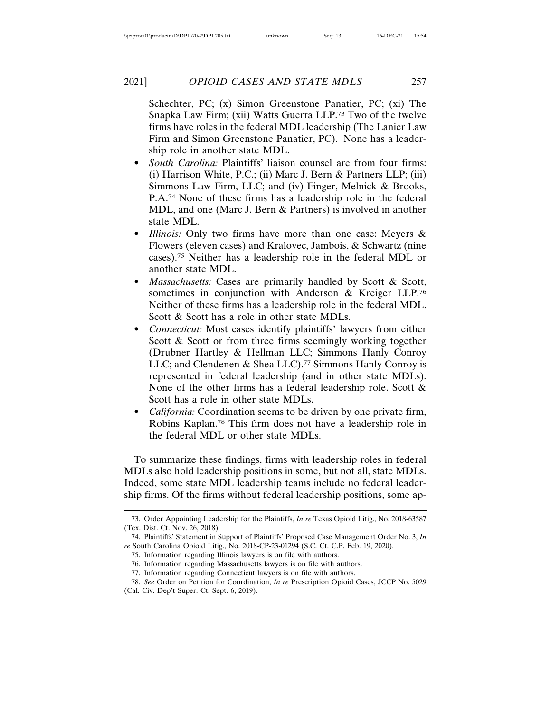Schechter, PC; (x) Simon Greenstone Panatier, PC; (xi) The Snapka Law Firm; (xii) Watts Guerra LLP.73 Two of the twelve firms have roles in the federal MDL leadership (The Lanier Law Firm and Simon Greenstone Panatier, PC). None has a leadership role in another state MDL.

- *South Carolina:* Plaintiffs' liaison counsel are from four firms: (i) Harrison White, P.C.; (ii) Marc J. Bern & Partners LLP; (iii) Simmons Law Firm, LLC; and (iv) Finger, Melnick & Brooks, P.A.74 None of these firms has a leadership role in the federal MDL, and one (Marc J. Bern & Partners) is involved in another state MDL.
- *Illinois:* Only two firms have more than one case: Meyers & Flowers (eleven cases) and Kralovec, Jambois, & Schwartz (nine cases).75 Neither has a leadership role in the federal MDL or another state MDL.
- *Massachusetts:* Cases are primarily handled by Scott & Scott, sometimes in conjunction with Anderson & Kreiger LLP.76 Neither of these firms has a leadership role in the federal MDL. Scott & Scott has a role in other state MDLs.
- *Connecticut:* Most cases identify plaintiffs' lawyers from either Scott & Scott or from three firms seemingly working together (Drubner Hartley & Hellman LLC; Simmons Hanly Conroy LLC; and Clendenen & Shea LLC).<sup>77</sup> Simmons Hanly Conroy is represented in federal leadership (and in other state MDLs). None of the other firms has a federal leadership role. Scott & Scott has a role in other state MDLs.
- *California:* Coordination seems to be driven by one private firm, Robins Kaplan.78 This firm does not have a leadership role in the federal MDL or other state MDLs.

To summarize these findings, firms with leadership roles in federal MDLs also hold leadership positions in some, but not all, state MDLs. Indeed, some state MDL leadership teams include no federal leadership firms. Of the firms without federal leadership positions, some ap-

<sup>73.</sup> Order Appointing Leadership for the Plaintiffs, *In re* Texas Opioid Litig., No. 2018-63587 (Tex. Dist. Ct. Nov. 26, 2018).

<sup>74.</sup> Plaintiffs' Statement in Support of Plaintiffs' Proposed Case Management Order No. 3, *In re* South Carolina Opioid Litig., No. 2018-CP-23-01294 (S.C. Ct. C.P. Feb. 19, 2020).

<sup>75.</sup> Information regarding Illinois lawyers is on file with authors.

<sup>76.</sup> Information regarding Massachusetts lawyers is on file with authors.

<sup>77.</sup> Information regarding Connecticut lawyers is on file with authors.

<sup>78.</sup> *See* Order on Petition for Coordination, *In re* Prescription Opioid Cases, JCCP No. 5029 (Cal. Civ. Dep't Super. Ct. Sept. 6, 2019).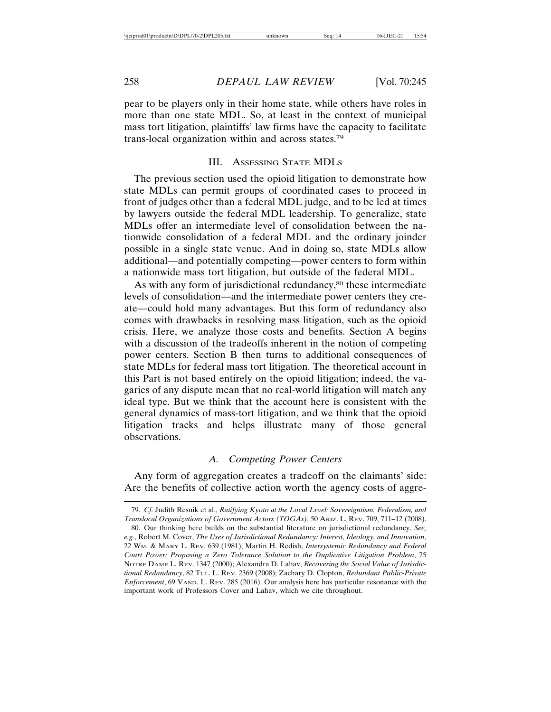pear to be players only in their home state, while others have roles in more than one state MDL. So, at least in the context of municipal mass tort litigation, plaintiffs' law firms have the capacity to facilitate trans-local organization within and across states.79

#### III. ASSESSING STATE MDLS

The previous section used the opioid litigation to demonstrate how state MDLs can permit groups of coordinated cases to proceed in front of judges other than a federal MDL judge, and to be led at times by lawyers outside the federal MDL leadership. To generalize, state MDLs offer an intermediate level of consolidation between the nationwide consolidation of a federal MDL and the ordinary joinder possible in a single state venue. And in doing so, state MDLs allow additional—and potentially competing—power centers to form within a nationwide mass tort litigation, but outside of the federal MDL.

As with any form of jurisdictional redundancy,<sup>80</sup> these intermediate levels of consolidation—and the intermediate power centers they create—could hold many advantages. But this form of redundancy also comes with drawbacks in resolving mass litigation, such as the opioid crisis. Here, we analyze those costs and benefits. Section A begins with a discussion of the tradeoffs inherent in the notion of competing power centers. Section B then turns to additional consequences of state MDLs for federal mass tort litigation. The theoretical account in this Part is not based entirely on the opioid litigation; indeed, the vagaries of any dispute mean that no real-world litigation will match any ideal type. But we think that the account here is consistent with the general dynamics of mass-tort litigation, and we think that the opioid litigation tracks and helps illustrate many of those general observations.

## *A. Competing Power Centers*

Any form of aggregation creates a tradeoff on the claimants' side: Are the benefits of collective action worth the agency costs of aggre-

<sup>79.</sup> *Cf.* Judith Resnik et al., *Ratifying Kyoto at the Local Level: Sovereigntism, Federalism, and Translocal Organizations of Government Actors (TOGAs)*, 50 ARIZ. L. REV. 709, 711–12 (2008).

<sup>80.</sup> Our thinking here builds on the substantial literature on jurisdictional redundancy. *See, e.g.*, Robert M. Cover, *The Uses of Jurisdictional Redundancy: Interest, Ideology, and Innovation*, 22 WM. & MARY L. REV. 639 (1981); Martin H. Redish, *Intersystemic Redundancy and Federal Court Power: Proposing a Zero Tolerance Solution to the Duplicative Litigation Problem*, 75 NOTRE DAME L. REV. 1347 (2000); Alexandra D. Lahav, *Recovering the Social Value of Jurisdictional Redundancy*, 82 TUL. L. REV. 2369 (2008); Zachary D. Clopton, *Redundant Public-Private Enforcement*, 69 VAND. L. REV. 285 (2016). Our analysis here has particular resonance with the important work of Professors Cover and Lahav, which we cite throughout.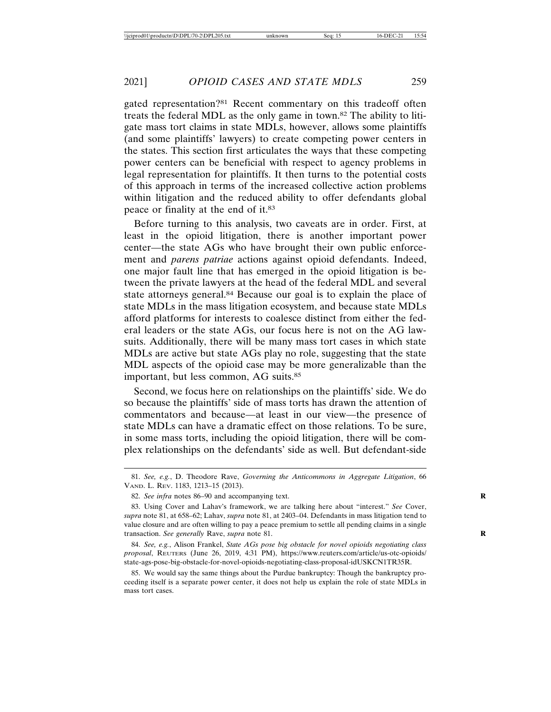gated representation?81 Recent commentary on this tradeoff often treats the federal MDL as the only game in town.82 The ability to litigate mass tort claims in state MDLs, however, allows some plaintiffs (and some plaintiffs' lawyers) to create competing power centers in the states. This section first articulates the ways that these competing power centers can be beneficial with respect to agency problems in legal representation for plaintiffs. It then turns to the potential costs of this approach in terms of the increased collective action problems within litigation and the reduced ability to offer defendants global peace or finality at the end of it.83

Before turning to this analysis, two caveats are in order. First, at least in the opioid litigation, there is another important power center—the state AGs who have brought their own public enforcement and *parens patriae* actions against opioid defendants. Indeed, one major fault line that has emerged in the opioid litigation is between the private lawyers at the head of the federal MDL and several state attorneys general.84 Because our goal is to explain the place of state MDLs in the mass litigation ecosystem, and because state MDLs afford platforms for interests to coalesce distinct from either the federal leaders or the state AGs, our focus here is not on the AG lawsuits. Additionally, there will be many mass tort cases in which state MDLs are active but state AGs play no role, suggesting that the state MDL aspects of the opioid case may be more generalizable than the important, but less common, AG suits.85

Second, we focus here on relationships on the plaintiffs' side. We do so because the plaintiffs' side of mass torts has drawn the attention of commentators and because—at least in our view—the presence of state MDLs can have a dramatic effect on those relations. To be sure, in some mass torts, including the opioid litigation, there will be complex relationships on the defendants' side as well. But defendant-side

<sup>81.</sup> *See, e.g.*, D. Theodore Rave, *Governing the Anticommons in Aggregate Litigation*, 66 VAND. L. REV. 1183, 1213–15 (2013).

<sup>82.</sup> *See infra* notes 86–90 and accompanying text.

<sup>83.</sup> Using Cover and Lahav's framework, we are talking here about "interest." *See* Cover, *supra* note 81, at 658–62; Lahav, *supra* note 81, at 2403–04. Defendants in mass litigation tend to value closure and are often willing to pay a peace premium to settle all pending claims in a single transaction. *See generally* Rave, *supra* note 81.

<sup>84.</sup> *See, e.g.*, Alison Frankel, *State AGs pose big obstacle for novel opioids negotiating class proposal*, REUTERS (June 26, 2019, 4:31 PM), https://www.reuters.com/article/us-otc-opioids/ state-ags-pose-big-obstacle-for-novel-opioids-negotiating-class-proposal-idUSKCN1TR35R.

<sup>85.</sup> We would say the same things about the Purdue bankruptcy: Though the bankruptcy proceeding itself is a separate power center, it does not help us explain the role of state MDLs in mass tort cases.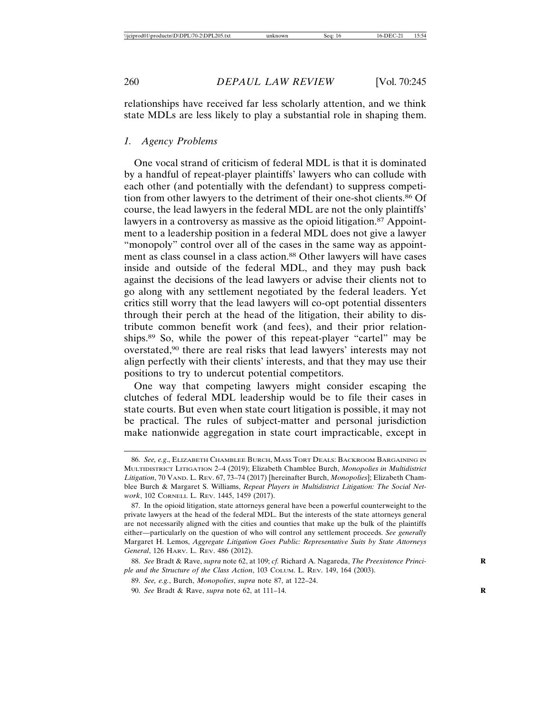relationships have received far less scholarly attention, and we think state MDLs are less likely to play a substantial role in shaping them.

## *1. Agency Problems*

One vocal strand of criticism of federal MDL is that it is dominated by a handful of repeat-player plaintiffs' lawyers who can collude with each other (and potentially with the defendant) to suppress competition from other lawyers to the detriment of their one-shot clients.86 Of course, the lead lawyers in the federal MDL are not the only plaintiffs' lawyers in a controversy as massive as the opioid litigation.<sup>87</sup> Appointment to a leadership position in a federal MDL does not give a lawyer "monopoly" control over all of the cases in the same way as appointment as class counsel in a class action.<sup>88</sup> Other lawyers will have cases inside and outside of the federal MDL, and they may push back against the decisions of the lead lawyers or advise their clients not to go along with any settlement negotiated by the federal leaders. Yet critics still worry that the lead lawyers will co-opt potential dissenters through their perch at the head of the litigation, their ability to distribute common benefit work (and fees), and their prior relationships.89 So, while the power of this repeat-player "cartel" may be overstated,90 there are real risks that lead lawyers' interests may not align perfectly with their clients' interests, and that they may use their positions to try to undercut potential competitors.

One way that competing lawyers might consider escaping the clutches of federal MDL leadership would be to file their cases in state courts. But even when state court litigation is possible, it may not be practical. The rules of subject-matter and personal jurisdiction make nationwide aggregation in state court impracticable, except in

<sup>86.</sup> *See, e.g*., ELIZABETH CHAMBLEE BURCH, MASS TORT DEALS: BACKROOM BARGAINING IN MULTIDISTRICT LITIGATION 2–4 (2019); Elizabeth Chamblee Burch, *Monopolies in Multidistrict Litigation*, 70 VAND. L. REV. 67, 73–74 (2017) [hereinafter Burch, *Monopolies*]; Elizabeth Chamblee Burch & Margaret S. Williams, *Repeat Players in Multidistrict Litigation: The Social Network*, 102 CORNELL L. REV. 1445, 1459 (2017).

<sup>87.</sup> In the opioid litigation, state attorneys general have been a powerful counterweight to the private lawyers at the head of the federal MDL. But the interests of the state attorneys general are not necessarily aligned with the cities and counties that make up the bulk of the plaintiffs either—particularly on the question of who will control any settlement proceeds. *See generally* Margaret H. Lemos, *Aggregate Litigation Goes Public: Representative Suits by State Attorneys General*, 126 HARV. L. REV. 486 (2012).

<sup>88.</sup> *See* Bradt & Rave, *supra* note 62, at 109; *cf.* Richard A. Nagareda, *The Preexistence Princi-* **R** *ple and the Structure of the Class Action*, 103 COLUM. L. REV. 149, 164 (2003).

<sup>89.</sup> *See, e.g.*, Burch, *Monopolies*, *supra* note 87, at 122–24.

<sup>90.</sup> *See* Bradt & Rave, *supra* note 62, at 111–14. **R**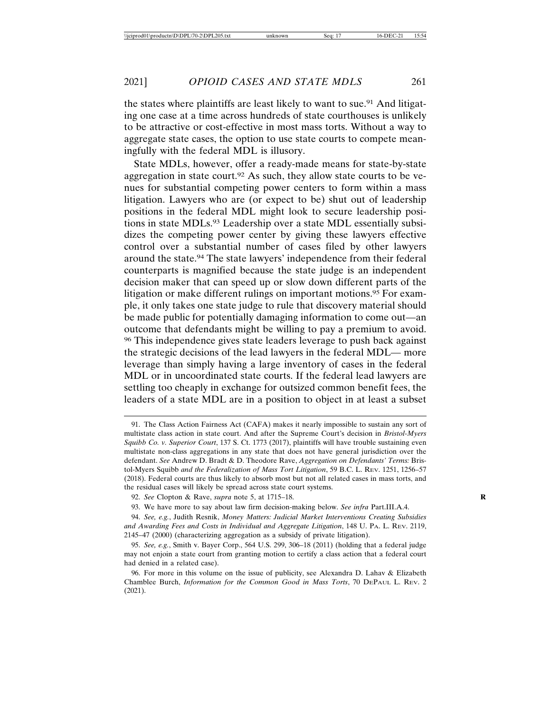the states where plaintiffs are least likely to want to sue.<sup>91</sup> And litigating one case at a time across hundreds of state courthouses is unlikely to be attractive or cost-effective in most mass torts. Without a way to aggregate state cases, the option to use state courts to compete meaningfully with the federal MDL is illusory.

State MDLs, however, offer a ready-made means for state-by-state aggregation in state court.<sup>92</sup> As such, they allow state courts to be venues for substantial competing power centers to form within a mass litigation. Lawyers who are (or expect to be) shut out of leadership positions in the federal MDL might look to secure leadership positions in state MDLs.<sup>93</sup> Leadership over a state MDL essentially subsidizes the competing power center by giving these lawyers effective control over a substantial number of cases filed by other lawyers around the state.94 The state lawyers' independence from their federal counterparts is magnified because the state judge is an independent decision maker that can speed up or slow down different parts of the litigation or make different rulings on important motions.95 For example, it only takes one state judge to rule that discovery material should be made public for potentially damaging information to come out—an outcome that defendants might be willing to pay a premium to avoid. 96 This independence gives state leaders leverage to push back against the strategic decisions of the lead lawyers in the federal MDL— more leverage than simply having a large inventory of cases in the federal MDL or in uncoordinated state courts. If the federal lead lawyers are settling too cheaply in exchange for outsized common benefit fees, the leaders of a state MDL are in a position to object in at least a subset

<sup>91.</sup> The Class Action Fairness Act (CAFA) makes it nearly impossible to sustain any sort of multistate class action in state court. And after the Supreme Court's decision in *Bristol-Myers Squibb Co. v. Superior Court*, 137 S. Ct. 1773 (2017), plaintiffs will have trouble sustaining even multistate non-class aggregations in any state that does not have general jurisdiction over the defendant. *See* Andrew D. Bradt & D. Theodore Rave, *Aggregation on Defendants' Terms:* Bristol-Myers Squibb *and the Federalization of Mass Tort Litigation*, 59 B.C. L. REV. 1251, 1256–57 (2018). Federal courts are thus likely to absorb most but not all related cases in mass torts, and the residual cases will likely be spread across state court systems.

<sup>92.</sup> *See* Clopton & Rave, *supra* note 5, at 1715–18. **R**

<sup>93.</sup> We have more to say about law firm decision-making below. *See infra* Part.III.A.4.

<sup>94.</sup> *See, e.g.*, Judith Resnik, *Money Matters: Judicial Market Interventions Creating Subsidies and Awarding Fees and Costs in Individual and Aggregate Litigation*, 148 U. PA. L. REV. 2119, 2145–47 (2000) (characterizing aggregation as a subsidy of private litigation).

<sup>95.</sup> *See, e.g.*, Smith v. Bayer Corp., 564 U.S. 299, 306–18 (2011) (holding that a federal judge may not enjoin a state court from granting motion to certify a class action that a federal court had denied in a related case).

<sup>96.</sup> For more in this volume on the issue of publicity, see Alexandra D. Lahav & Elizabeth Chamblee Burch, *Information for the Common Good in Mass Torts*, 70 DEPAUL L. REV. 2 (2021).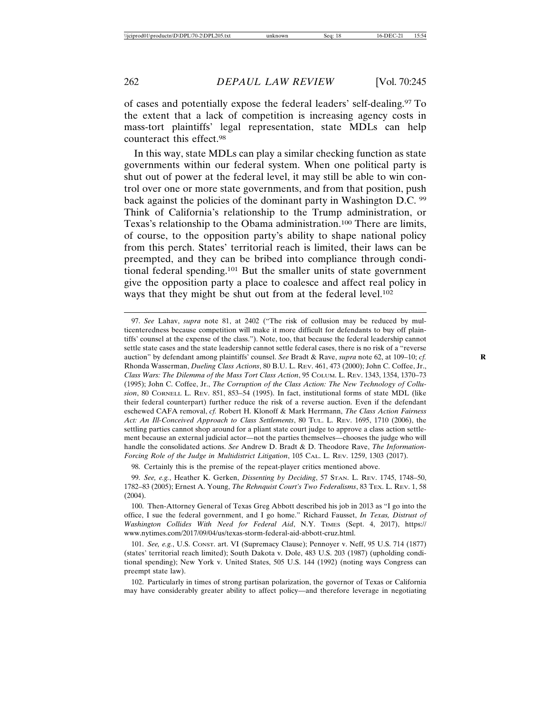of cases and potentially expose the federal leaders' self-dealing.97 To the extent that a lack of competition is increasing agency costs in mass-tort plaintiffs' legal representation, state MDLs can help counteract this effect.98

In this way, state MDLs can play a similar checking function as state governments within our federal system. When one political party is shut out of power at the federal level, it may still be able to win control over one or more state governments, and from that position, push back against the policies of the dominant party in Washington D.C. 99 Think of California's relationship to the Trump administration, or Texas's relationship to the Obama administration.100 There are limits, of course, to the opposition party's ability to shape national policy from this perch. States' territorial reach is limited, their laws can be preempted, and they can be bribed into compliance through conditional federal spending.101 But the smaller units of state government give the opposition party a place to coalesce and affect real policy in ways that they might be shut out from at the federal level.<sup>102</sup>

97. *See* Lahav, *supra* note 81, at 2402 ("The risk of collusion may be reduced by multicenteredness because competition will make it more difficult for defendants to buy off plaintiffs' counsel at the expense of the class."). Note, too, that because the federal leadership cannot settle state cases and the state leadership cannot settle federal cases, there is no risk of a "reverse auction" by defendant among plaintiffs' counsel. *See* Bradt & Rave, *supra* note 62, at 109–10; *cf.* Rhonda Wasserman, *Dueling Class Actions*, 80 B.U. L. REV. 461, 473 (2000); John C. Coffee, Jr., *Class Wars: The Dilemma of the Mass Tort Class Action*, 95 COLUM. L. REV. 1343, 1354, 1370–73 (1995); John C. Coffee, Jr., *The Corruption of the Class Action: The New Technology of Collusion*, 80 CORNELL L. REV. 851, 853–54 (1995). In fact, institutional forms of state MDL (like their federal counterpart) further reduce the risk of a reverse auction. Even if the defendant eschewed CAFA removal, *cf.* Robert H. Klonoff & Mark Herrmann, *The Class Action Fairness Act: An Ill-Conceived Approach to Class Settlements*, 80 TUL. L. REV. 1695, 1710 (2006), the settling parties cannot shop around for a pliant state court judge to approve a class action settlement because an external judicial actor—not the parties themselves—chooses the judge who will handle the consolidated actions. *See* Andrew D. Bradt & D. Theodore Rave, *The Information-Forcing Role of the Judge in Multidistrict Litigation*, 105 CAL. L. REV. 1259, 1303 (2017).

98. Certainly this is the premise of the repeat-player critics mentioned above.

99. *See, e.g.*, Heather K. Gerken, *Dissenting by Deciding*, 57 STAN. L. REV. 1745, 1748–50, 1782–83 (2005); Ernest A. Young, *The Rehnquist Court's Two Federalisms*, 83 TEX. L. REV. 1, 58 (2004).

100. Then-Attorney General of Texas Greg Abbott described his job in 2013 as "I go into the office, I sue the federal government, and I go home." Richard Fausset, *In Texas, Distrust of Washington Collides With Need for Federal Aid*, N.Y. TIMES (Sept. 4, 2017), https:// www.nytimes.com/2017/09/04/us/texas-storm-federal-aid-abbott-cruz.html.

101. *See, e.g.*, U.S. CONST. art. VI (Supremacy Clause); Pennoyer v. Neff, 95 U.S. 714 (1877) (states' territorial reach limited); South Dakota v. Dole, 483 U.S. 203 (1987) (upholding conditional spending); New York v. United States, 505 U.S. 144 (1992) (noting ways Congress can preempt state law).

102. Particularly in times of strong partisan polarization, the governor of Texas or California may have considerably greater ability to affect policy—and therefore leverage in negotiating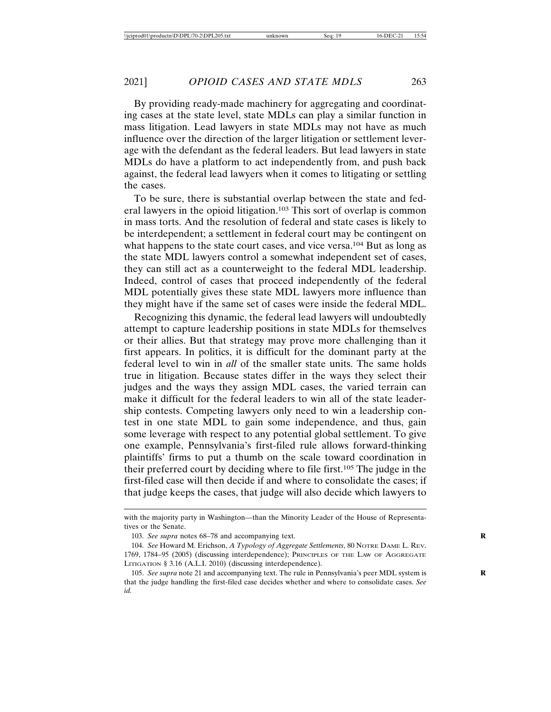By providing ready-made machinery for aggregating and coordinating cases at the state level, state MDLs can play a similar function in mass litigation. Lead lawyers in state MDLs may not have as much influence over the direction of the larger litigation or settlement leverage with the defendant as the federal leaders. But lead lawyers in state MDLs do have a platform to act independently from, and push back against, the federal lead lawyers when it comes to litigating or settling the cases.

To be sure, there is substantial overlap between the state and federal lawyers in the opioid litigation.103 This sort of overlap is common in mass torts. And the resolution of federal and state cases is likely to be interdependent; a settlement in federal court may be contingent on what happens to the state court cases, and vice versa.<sup>104</sup> But as long as the state MDL lawyers control a somewhat independent set of cases, they can still act as a counterweight to the federal MDL leadership. Indeed, control of cases that proceed independently of the federal MDL potentially gives these state MDL lawyers more influence than they might have if the same set of cases were inside the federal MDL.

Recognizing this dynamic, the federal lead lawyers will undoubtedly attempt to capture leadership positions in state MDLs for themselves or their allies. But that strategy may prove more challenging than it first appears. In politics, it is difficult for the dominant party at the federal level to win in *all* of the smaller state units. The same holds true in litigation. Because states differ in the ways they select their judges and the ways they assign MDL cases, the varied terrain can make it difficult for the federal leaders to win all of the state leadership contests. Competing lawyers only need to win a leadership contest in one state MDL to gain some independence, and thus, gain some leverage with respect to any potential global settlement. To give one example, Pennsylvania's first-filed rule allows forward-thinking plaintiffs' firms to put a thumb on the scale toward coordination in their preferred court by deciding where to file first.105 The judge in the first-filed case will then decide if and where to consolidate the cases; if that judge keeps the cases, that judge will also decide which lawyers to

with the majority party in Washington—than the Minority Leader of the House of Representatives or the Senate.

<sup>103.</sup> *See supra* notes 68–78 and accompanying text.

<sup>104.</sup> *See* Howard M. Erichson, *A Typology of Aggregate Settlements*, 80 NOTRE DAME L. REV. 1769, 1784–95 (2005) (discussing interdependence); PRINCIPLES OF THE LAW OF AGGREGATE LITIGATION § 3.16 (A.L.I. 2010) (discussing interdependence).

<sup>105.</sup> *See supra* note 21 and accompanying text. The rule in Pennsylvania's peer MDL system is **R** that the judge handling the first-filed case decides whether and where to consolidate cases. *See id.*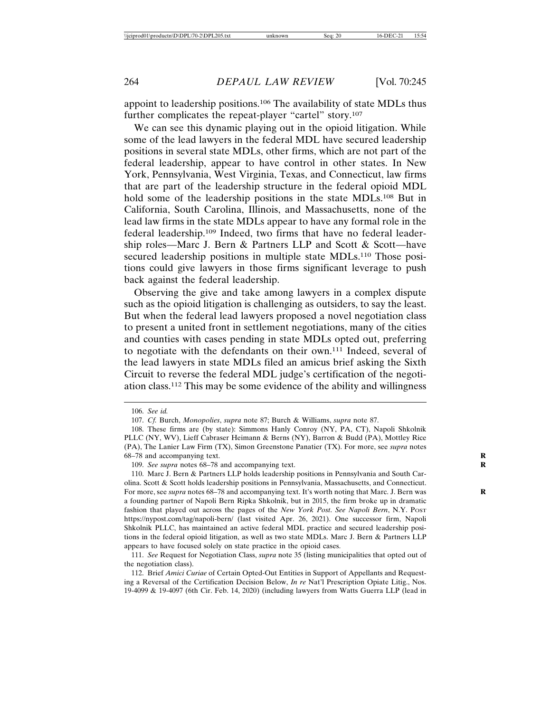appoint to leadership positions.106 The availability of state MDLs thus further complicates the repeat-player "cartel" story.107

We can see this dynamic playing out in the opioid litigation. While some of the lead lawyers in the federal MDL have secured leadership positions in several state MDLs, other firms, which are not part of the federal leadership, appear to have control in other states. In New York, Pennsylvania, West Virginia, Texas, and Connecticut, law firms that are part of the leadership structure in the federal opioid MDL hold some of the leadership positions in the state MDLs.<sup>108</sup> But in California, South Carolina, Illinois, and Massachusetts, none of the lead law firms in the state MDLs appear to have any formal role in the federal leadership.109 Indeed, two firms that have no federal leadership roles—Marc J. Bern & Partners LLP and Scott & Scott—have secured leadership positions in multiple state MDLs.<sup>110</sup> Those positions could give lawyers in those firms significant leverage to push back against the federal leadership.

Observing the give and take among lawyers in a complex dispute such as the opioid litigation is challenging as outsiders, to say the least. But when the federal lead lawyers proposed a novel negotiation class to present a united front in settlement negotiations, many of the cities and counties with cases pending in state MDLs opted out, preferring to negotiate with the defendants on their own.111 Indeed, several of the lead lawyers in state MDLs filed an amicus brief asking the Sixth Circuit to reverse the federal MDL judge's certification of the negotiation class.112 This may be some evidence of the ability and willingness

<sup>106.</sup> *See id.*

<sup>107.</sup> *Cf.* Burch, *Monopolies*, *supra* note 87; Burch & Williams, *supra* note 87.

<sup>108.</sup> These firms are (by state): Simmons Hanly Conroy (NY, PA, CT), Napoli Shkolnik PLLC (NY, WV), Lieff Cabraser Heimann & Berns (NY), Barron & Budd (PA), Mottley Rice (PA), The Lanier Law Firm (TX), Simon Greenstone Panatier (TX). For more, see *supra* notes 68–78 and accompanying text. **R**

<sup>109.</sup> *See supra* notes 68–78 and accompanying text.

<sup>110.</sup> Marc J. Bern & Partners LLP holds leadership positions in Pennsylvania and South Carolina. Scott & Scott holds leadership positions in Pennsylvania, Massachusetts, and Connecticut. For more, see *supra* notes 68–78 and accompanying text. It's worth noting that Marc. J. Bern was **R** a founding partner of Napoli Bern Ripka Shkolnik, but in 2015, the firm broke up in dramatic fashion that played out across the pages of the *New York Post*. *See Napoli Bern*, N.Y. POST https://nypost.com/tag/napoli-bern/ (last visited Apr. 26, 2021). One successor firm, Napoli Shkolnik PLLC, has maintained an active federal MDL practice and secured leadership positions in the federal opioid litigation, as well as two state MDLs. Marc J. Bern & Partners LLP appears to have focused solely on state practice in the opioid cases.

<sup>111.</sup> *See* Request for Negotiation Class, *supra* note 35 (listing municipalities that opted out of the negotiation class).

<sup>112.</sup> Brief *Amici Curiae* of Certain Opted-Out Entities in Support of Appellants and Requesting a Reversal of the Certification Decision Below, *In re* Nat'l Prescription Opiate Litig., Nos. 19-4099 & 19-4097 (6th Cir. Feb. 14, 2020) (including lawyers from Watts Guerra LLP (lead in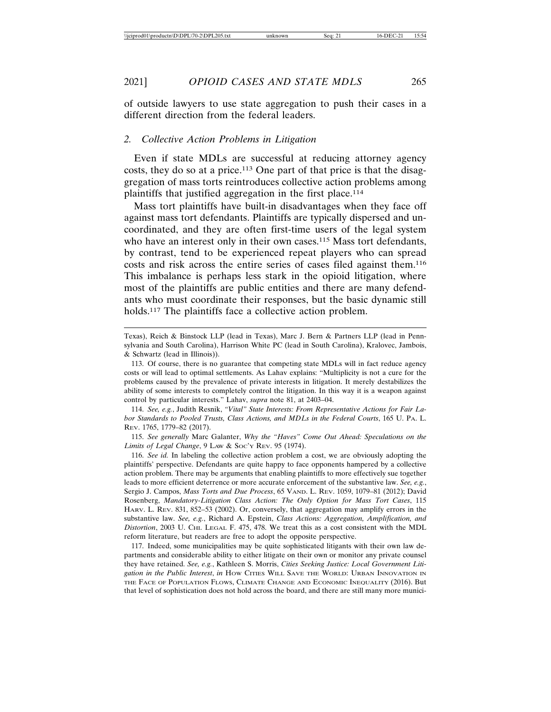of outside lawyers to use state aggregation to push their cases in a different direction from the federal leaders.

#### *2. Collective Action Problems in Litigation*

Even if state MDLs are successful at reducing attorney agency costs, they do so at a price.113 One part of that price is that the disaggregation of mass torts reintroduces collective action problems among plaintiffs that justified aggregation in the first place.<sup>114</sup>

Mass tort plaintiffs have built-in disadvantages when they face off against mass tort defendants. Plaintiffs are typically dispersed and uncoordinated, and they are often first-time users of the legal system who have an interest only in their own cases.<sup>115</sup> Mass tort defendants, by contrast, tend to be experienced repeat players who can spread costs and risk across the entire series of cases filed against them.116 This imbalance is perhaps less stark in the opioid litigation, where most of the plaintiffs are public entities and there are many defendants who must coordinate their responses, but the basic dynamic still holds.<sup>117</sup> The plaintiffs face a collective action problem.

114. *See, e.g.*, Judith Resnik, *"Vital" State Interests: From Representative Actions for Fair Labor Standards to Pooled Trusts, Class Actions, and MDLs in the Federal Courts*, 165 U. PA. L. REV. 1765, 1779–82 (2017).

115. *See generally* Marc Galanter, *Why the "Haves" Come Out Ahead: Speculations on the Limits of Legal Change*, 9 LAW & SOC'Y REV. 95 (1974).

116. *See id.* In labeling the collective action problem a cost, we are obviously adopting the plaintiffs' perspective. Defendants are quite happy to face opponents hampered by a collective action problem. There may be arguments that enabling plaintiffs to more effectively sue together leads to more efficient deterrence or more accurate enforcement of the substantive law. *See, e.g.*, Sergio J. Campos, *Mass Torts and Due Process*, 65 VAND. L. REV. 1059, 1079–81 (2012); David Rosenberg, *Mandatory-Litigation Class Action: The Only Option for Mass Tort Cases*, 115 HARV. L. REV. 831, 852–53 (2002). Or, conversely, that aggregation may amplify errors in the substantive law. *See, e.g.*, Richard A. Epstein, *Class Actions: Aggregation, Amplification, and Distortion*, 2003 U. CHI. LEGAL F. 475, 478. We treat this as a cost consistent with the MDL reform literature, but readers are free to adopt the opposite perspective.

117. Indeed, some municipalities may be quite sophisticated litigants with their own law departments and considerable ability to either litigate on their own or monitor any private counsel they have retained. *See, e.g.*, Kathleen S. Morris, *Cities Seeking Justice: Local Government Litigation in the Public Interest*, *in* HOW CITIES WILL SAVE THE WORLD: URBAN INNOVATION IN THE FACE OF POPULATION FLOWS, CLIMATE CHANGE AND ECONOMIC INEQUALITY (2016). But that level of sophistication does not hold across the board, and there are still many more munici-

Texas), Reich & Binstock LLP (lead in Texas), Marc J. Bern & Partners LLP (lead in Pennsylvania and South Carolina), Harrison White PC (lead in South Carolina), Kralovec, Jambois, & Schwartz (lead in Illinois)).

<sup>113.</sup> Of course, there is no guarantee that competing state MDLs will in fact reduce agency costs or will lead to optimal settlements. As Lahav explains: "Multiplicity is not a cure for the problems caused by the prevalence of private interests in litigation. It merely destabilizes the ability of some interests to completely control the litigation. In this way it is a weapon against control by particular interests." Lahav, *supra* note 81, at 2403–04.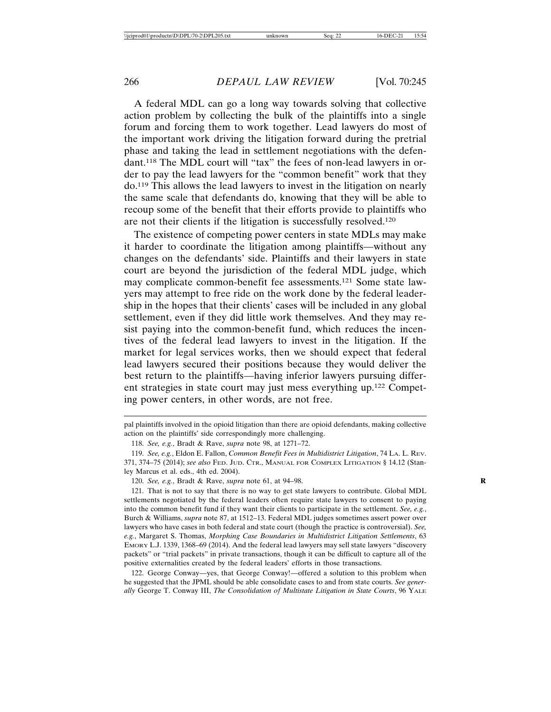A federal MDL can go a long way towards solving that collective action problem by collecting the bulk of the plaintiffs into a single forum and forcing them to work together. Lead lawyers do most of the important work driving the litigation forward during the pretrial phase and taking the lead in settlement negotiations with the defendant.118 The MDL court will "tax" the fees of non-lead lawyers in order to pay the lead lawyers for the "common benefit" work that they do.119 This allows the lead lawyers to invest in the litigation on nearly the same scale that defendants do, knowing that they will be able to recoup some of the benefit that their efforts provide to plaintiffs who are not their clients if the litigation is successfully resolved.120

The existence of competing power centers in state MDLs may make it harder to coordinate the litigation among plaintiffs—without any changes on the defendants' side. Plaintiffs and their lawyers in state court are beyond the jurisdiction of the federal MDL judge, which may complicate common-benefit fee assessments.121 Some state lawyers may attempt to free ride on the work done by the federal leadership in the hopes that their clients' cases will be included in any global settlement, even if they did little work themselves. And they may resist paying into the common-benefit fund, which reduces the incentives of the federal lead lawyers to invest in the litigation. If the market for legal services works, then we should expect that federal lead lawyers secured their positions because they would deliver the best return to the plaintiffs—having inferior lawyers pursuing different strategies in state court may just mess everything up.122 Competing power centers, in other words, are not free.

pal plaintiffs involved in the opioid litigation than there are opioid defendants, making collective action on the plaintiffs' side correspondingly more challenging.

<sup>118.</sup> *See, e.g.*, Bradt & Rave, *supra* note 98, at 1271–72.

<sup>119.</sup> *See, e.g.*, Eldon E. Fallon, *Common Benefit Fees in Multidistrict Litigation*, 74 LA. L. REV. 371, 374–75 (2014); *see also* FED. JUD. CTR., MANUAL FOR COMPLEX LITIGATION § 14.12 (Stanley Marcus et al. eds., 4th ed. 2004).

<sup>120.</sup> *See, e.g.*, Bradt & Rave, *supra* note 61, at 94–98. **R**

<sup>121.</sup> That is not to say that there is no way to get state lawyers to contribute. Global MDL settlements negotiated by the federal leaders often require state lawyers to consent to paying into the common benefit fund if they want their clients to participate in the settlement. *See, e.g.*, Burch & Williams, *supra* note 87, at 1512–13. Federal MDL judges sometimes assert power over lawyers who have cases in both federal and state court (though the practice is controversial). *See, e.g.*, Margaret S. Thomas, *Morphing Case Boundaries in Multidistrict Litigation Settlements*, 63 EMORY L.J. 1339, 1368–69 (2014). And the federal lead lawyers may sell state lawyers "discovery packets" or "trial packets" in private transactions, though it can be difficult to capture all of the positive externalities created by the federal leaders' efforts in those transactions.

<sup>122.</sup> George Conway—yes, that George Conway!—offered a solution to this problem when he suggested that the JPML should be able consolidate cases to and from state courts. *See generally* George T. Conway III, *The Consolidation of Multistate Litigation in State Courts*, 96 YALE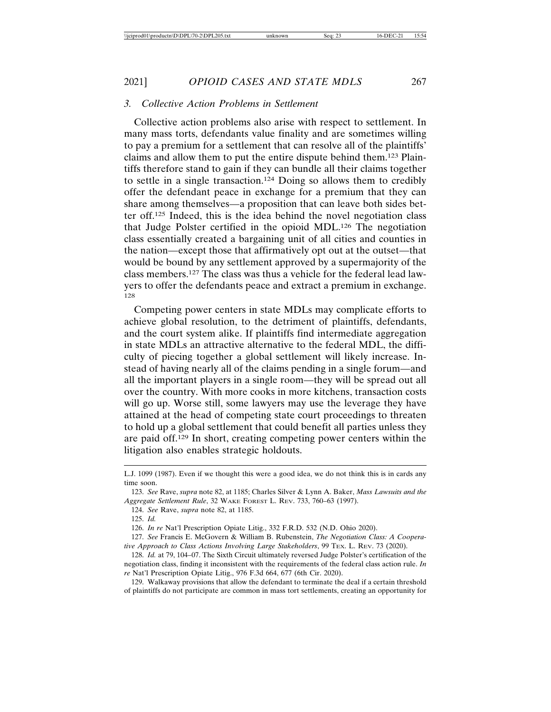## 2021] *OPIOID CASES AND STATE MDLS* 267

## *3. Collective Action Problems in Settlement*

Collective action problems also arise with respect to settlement. In many mass torts, defendants value finality and are sometimes willing to pay a premium for a settlement that can resolve all of the plaintiffs' claims and allow them to put the entire dispute behind them.123 Plaintiffs therefore stand to gain if they can bundle all their claims together to settle in a single transaction.124 Doing so allows them to credibly offer the defendant peace in exchange for a premium that they can share among themselves—a proposition that can leave both sides better off.125 Indeed, this is the idea behind the novel negotiation class that Judge Polster certified in the opioid MDL.126 The negotiation class essentially created a bargaining unit of all cities and counties in the nation—except those that affirmatively opt out at the outset—that would be bound by any settlement approved by a supermajority of the class members.127 The class was thus a vehicle for the federal lead lawyers to offer the defendants peace and extract a premium in exchange. 128

Competing power centers in state MDLs may complicate efforts to achieve global resolution, to the detriment of plaintiffs, defendants, and the court system alike. If plaintiffs find intermediate aggregation in state MDLs an attractive alternative to the federal MDL, the difficulty of piecing together a global settlement will likely increase. Instead of having nearly all of the claims pending in a single forum—and all the important players in a single room—they will be spread out all over the country. With more cooks in more kitchens, transaction costs will go up. Worse still, some lawyers may use the leverage they have attained at the head of competing state court proceedings to threaten to hold up a global settlement that could benefit all parties unless they are paid off.129 In short, creating competing power centers within the litigation also enables strategic holdouts.

126. *In re* Nat'l Prescription Opiate Litig., 332 F.R.D. 532 (N.D. Ohio 2020).

129. Walkaway provisions that allow the defendant to terminate the deal if a certain threshold of plaintiffs do not participate are common in mass tort settlements, creating an opportunity for

L.J. 1099 (1987). Even if we thought this were a good idea, we do not think this is in cards any time soon.

<sup>123.</sup> *See* Rave, *supra* note 82, at 1185; Charles Silver & Lynn A. Baker, *Mass Lawsuits and the Aggregate Settlement Rule*, 32 WAKE FOREST L. REV. 733, 760–63 (1997).

<sup>124.</sup> *See* Rave, *supra* note 82, at 1185.

<sup>125.</sup> *Id.*

<sup>127.</sup> *See* Francis E. McGovern & William B. Rubenstein, *The Negotiation Class: A Cooperative Approach to Class Actions Involving Large Stakeholders*, 99 TEX. L. REV. 73 (2020).

<sup>128.</sup> *Id.* at 79, 104–07. The Sixth Circuit ultimately reversed Judge Polster's certification of the negotiation class, finding it inconsistent with the requirements of the federal class action rule. *In re* Nat'l Prescription Opiate Litig., 976 F.3d 664, 677 (6th Cir. 2020).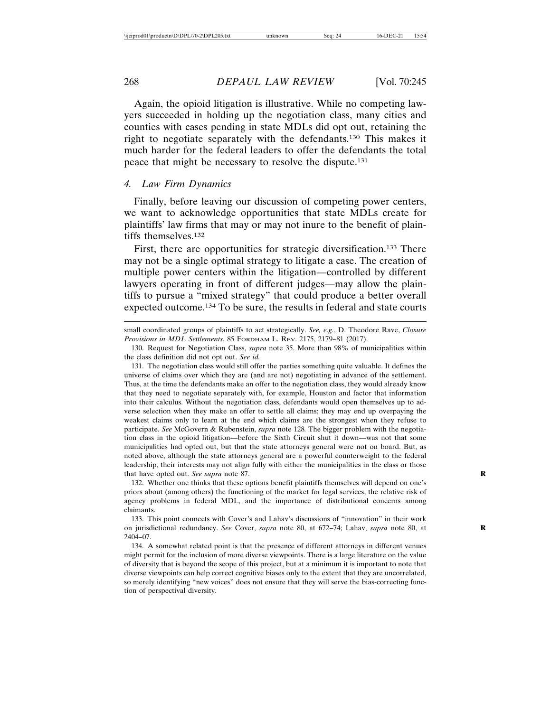Again, the opioid litigation is illustrative. While no competing lawyers succeeded in holding up the negotiation class, many cities and counties with cases pending in state MDLs did opt out, retaining the right to negotiate separately with the defendants.130 This makes it much harder for the federal leaders to offer the defendants the total peace that might be necessary to resolve the dispute.131

#### *4. Law Firm Dynamics*

Finally, before leaving our discussion of competing power centers, we want to acknowledge opportunities that state MDLs create for plaintiffs' law firms that may or may not inure to the benefit of plaintiffs themselves.132

First, there are opportunities for strategic diversification.<sup>133</sup> There may not be a single optimal strategy to litigate a case. The creation of multiple power centers within the litigation—controlled by different lawyers operating in front of different judges—may allow the plaintiffs to pursue a "mixed strategy" that could produce a better overall expected outcome.134 To be sure, the results in federal and state courts

131. The negotiation class would still offer the parties something quite valuable. It defines the universe of claims over which they are (and are not) negotiating in advance of the settlement. Thus, at the time the defendants make an offer to the negotiation class, they would already know that they need to negotiate separately with, for example, Houston and factor that information into their calculus. Without the negotiation class, defendants would open themselves up to adverse selection when they make an offer to settle all claims; they may end up overpaying the weakest claims only to learn at the end which claims are the strongest when they refuse to participate. *See* McGovern & Rubenstein, *supra* note 128*.* The bigger problem with the negotiation class in the opioid litigation—before the Sixth Circuit shut it down—was not that some municipalities had opted out, but that the state attorneys general were not on board. But, as noted above, although the state attorneys general are a powerful counterweight to the federal leadership, their interests may not align fully with either the municipalities in the class or those that have opted out. *See supra* note 87. **R**

132. Whether one thinks that these options benefit plaintiffs themselves will depend on one's priors about (among others) the functioning of the market for legal services, the relative risk of agency problems in federal MDL, and the importance of distributional concerns among claimants.

133. This point connects with Cover's and Lahav's discussions of "innovation" in their work on jurisdictional redundancy. *See* Cover, *supra* note 80, at 672–74; Lahav, *supra* note 80, at **R** 2404–07.

134. A somewhat related point is that the presence of different attorneys in different venues might permit for the inclusion of more diverse viewpoints. There is a large literature on the value of diversity that is beyond the scope of this project, but at a minimum it is important to note that diverse viewpoints can help correct cognitive biases only to the extent that they are uncorrelated, so merely identifying "new voices" does not ensure that they will serve the bias-correcting function of perspectival diversity.

small coordinated groups of plaintiffs to act strategically. *See, e.g.*, D. Theodore Rave, *Closure Provisions in MDL Settlements*, 85 FORDHAM L. REV. 2175, 2179–81 (2017).

<sup>130.</sup> Request for Negotiation Class, *supra* note 35. More than 98% of municipalities within the class definition did not opt out. *See id.*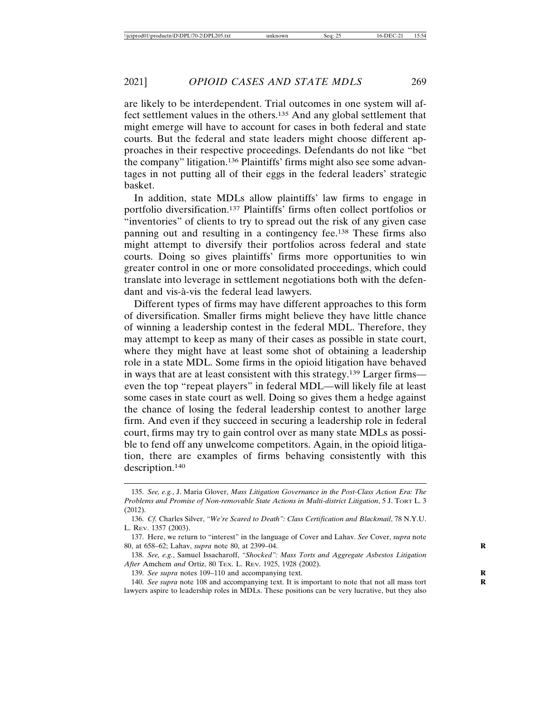are likely to be interdependent. Trial outcomes in one system will affect settlement values in the others.135 And any global settlement that might emerge will have to account for cases in both federal and state courts. But the federal and state leaders might choose different approaches in their respective proceedings. Defendants do not like "bet the company" litigation.136 Plaintiffs' firms might also see some advantages in not putting all of their eggs in the federal leaders' strategic basket.

In addition, state MDLs allow plaintiffs' law firms to engage in portfolio diversification.137 Plaintiffs' firms often collect portfolios or "inventories" of clients to try to spread out the risk of any given case panning out and resulting in a contingency fee.138 These firms also might attempt to diversify their portfolios across federal and state courts. Doing so gives plaintiffs' firms more opportunities to win greater control in one or more consolidated proceedings, which could translate into leverage in settlement negotiations both with the defendant and vis-à-vis the federal lead lawyers.

Different types of firms may have different approaches to this form of diversification. Smaller firms might believe they have little chance of winning a leadership contest in the federal MDL. Therefore, they may attempt to keep as many of their cases as possible in state court, where they might have at least some shot of obtaining a leadership role in a state MDL. Some firms in the opioid litigation have behaved in ways that are at least consistent with this strategy.139 Larger firms even the top "repeat players" in federal MDL—will likely file at least some cases in state court as well. Doing so gives them a hedge against the chance of losing the federal leadership contest to another large firm. And even if they succeed in securing a leadership role in federal court, firms may try to gain control over as many state MDLs as possible to fend off any unwelcome competitors. Again, in the opioid litigation, there are examples of firms behaving consistently with this description.140

139. *See supra* notes 109–110 and accompanying text.

140. *See supra* note 108 and accompanying text. It is important to note that not all mass tort **R** lawyers aspire to leadership roles in MDLs. These positions can be very lucrative, but they also

<sup>135.</sup> *See, e.g.*, J. Maria Glover, *Mass Litigation Governance in the Post-Class Action Era: The Problems and Promise of Non-removable State Actions in Multi-district Litigation*, 5 J. TORT L. 3 (2012).

<sup>136.</sup> *Cf.* Charles Silver, *"We're Scared to Death": Class Certification and Blackmail*, 78 N.Y.U. L. REV. 1357 (2003).

<sup>137.</sup> Here, we return to "interest" in the language of Cover and Lahav. *See* Cover, *supra* note 80, at 658–62; Lahav, *supra* note 80, at 2399–04. **R**

<sup>138.</sup> *See, e.g.*, Samuel Issacharoff, *"Shocked": Mass Torts and Aggregate Asbestos Litigation After* Amchem *and* Ortiz, 80 TEX. L. REV. 1925, 1928 (2002).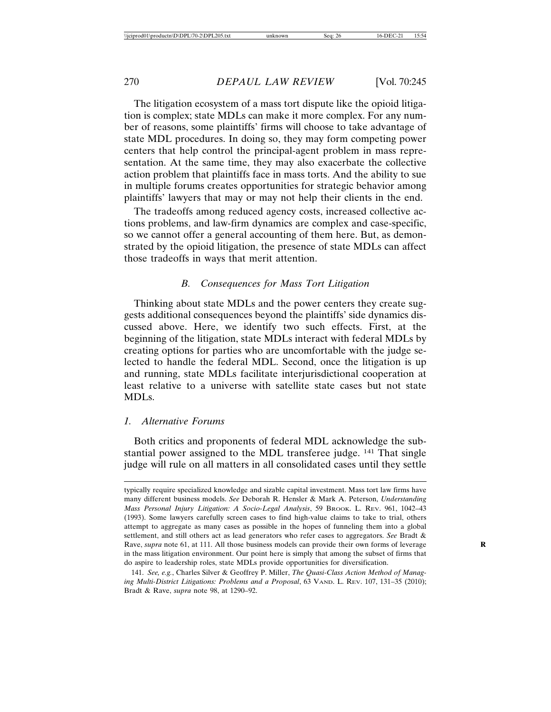The litigation ecosystem of a mass tort dispute like the opioid litigation is complex; state MDLs can make it more complex. For any number of reasons, some plaintiffs' firms will choose to take advantage of state MDL procedures. In doing so, they may form competing power centers that help control the principal-agent problem in mass representation. At the same time, they may also exacerbate the collective action problem that plaintiffs face in mass torts. And the ability to sue in multiple forums creates opportunities for strategic behavior among plaintiffs' lawyers that may or may not help their clients in the end.

The tradeoffs among reduced agency costs, increased collective actions problems, and law-firm dynamics are complex and case-specific, so we cannot offer a general accounting of them here. But, as demonstrated by the opioid litigation, the presence of state MDLs can affect those tradeoffs in ways that merit attention.

#### *B. Consequences for Mass Tort Litigation*

Thinking about state MDLs and the power centers they create suggests additional consequences beyond the plaintiffs' side dynamics discussed above. Here, we identify two such effects. First, at the beginning of the litigation, state MDLs interact with federal MDLs by creating options for parties who are uncomfortable with the judge selected to handle the federal MDL. Second, once the litigation is up and running, state MDLs facilitate interjurisdictional cooperation at least relative to a universe with satellite state cases but not state MDLs.

#### *1. Alternative Forums*

Both critics and proponents of federal MDL acknowledge the substantial power assigned to the MDL transferee judge. 141 That single judge will rule on all matters in all consolidated cases until they settle

typically require specialized knowledge and sizable capital investment. Mass tort law firms have many different business models. *See* Deborah R. Hensler & Mark A. Peterson, *Understanding Mass Personal Injury Litigation: A Socio-Legal Analysis*, 59 BROOK. L. REV. 961, 1042–43 (1993). Some lawyers carefully screen cases to find high-value claims to take to trial, others attempt to aggregate as many cases as possible in the hopes of funneling them into a global settlement, and still others act as lead generators who refer cases to aggregators. *See* Bradt & Rave, *supra* note 61, at 111. All those business models can provide their own forms of leverage **R** in the mass litigation environment. Our point here is simply that among the subset of firms that do aspire to leadership roles, state MDLs provide opportunities for diversification.

<sup>141.</sup> *See, e.g.*, Charles Silver & Geoffrey P. Miller, *The Quasi-Class Action Method of Managing Multi-District Litigations: Problems and a Proposal*, 63 VAND. L. REV. 107, 131–35 (2010); Bradt & Rave, *supra* note 98, at 1290–92.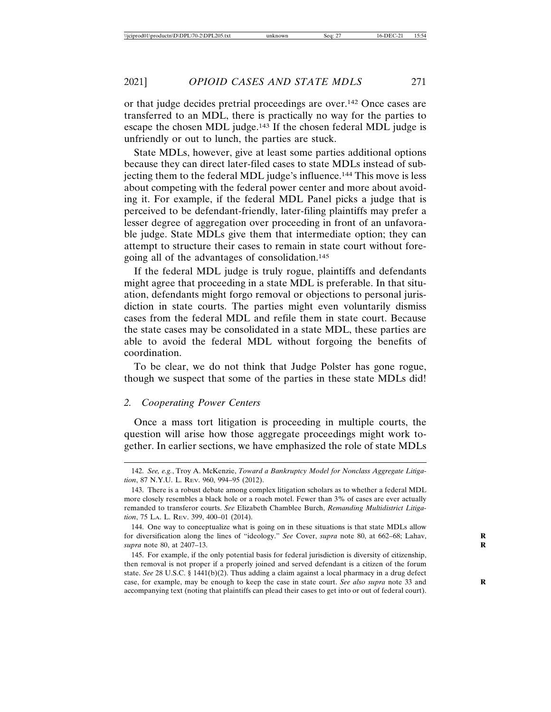or that judge decides pretrial proceedings are over.142 Once cases are transferred to an MDL, there is practically no way for the parties to escape the chosen MDL judge.143 If the chosen federal MDL judge is unfriendly or out to lunch, the parties are stuck.

State MDLs, however, give at least some parties additional options because they can direct later-filed cases to state MDLs instead of subjecting them to the federal MDL judge's influence.144 This move is less about competing with the federal power center and more about avoiding it. For example, if the federal MDL Panel picks a judge that is perceived to be defendant-friendly, later-filing plaintiffs may prefer a lesser degree of aggregation over proceeding in front of an unfavorable judge. State MDLs give them that intermediate option; they can attempt to structure their cases to remain in state court without foregoing all of the advantages of consolidation.145

If the federal MDL judge is truly rogue, plaintiffs and defendants might agree that proceeding in a state MDL is preferable. In that situation, defendants might forgo removal or objections to personal jurisdiction in state courts. The parties might even voluntarily dismiss cases from the federal MDL and refile them in state court. Because the state cases may be consolidated in a state MDL, these parties are able to avoid the federal MDL without forgoing the benefits of coordination.

To be clear, we do not think that Judge Polster has gone rogue, though we suspect that some of the parties in these state MDLs did!

#### *2. Cooperating Power Centers*

Once a mass tort litigation is proceeding in multiple courts, the question will arise how those aggregate proceedings might work together. In earlier sections, we have emphasized the role of state MDLs

<sup>142.</sup> *See, e.g.*, Troy A. McKenzie, *Toward a Bankruptcy Model for Nonclass Aggregate Litigation*, 87 N.Y.U. L. REV. 960, 994–95 (2012).

<sup>143.</sup> There is a robust debate among complex litigation scholars as to whether a federal MDL more closely resembles a black hole or a roach motel. Fewer than 3% of cases are ever actually remanded to transferor courts. *See* Elizabeth Chamblee Burch, *Remanding Multidistrict Litigation*, 75 LA. L. REV. 399, 400–01 (2014).

<sup>144.</sup> One way to conceptualize what is going on in these situations is that state MDLs allow for diversification along the lines of "ideology." *See* Cover, *supra* note 80, at 662–68; Lahav, **R** *supra* note 80, at 2407–13. **R**

<sup>145.</sup> For example, if the only potential basis for federal jurisdiction is diversity of citizenship, then removal is not proper if a properly joined and served defendant is a citizen of the forum state. *See* 28 U.S.C. § 1441(b)(2). Thus adding a claim against a local pharmacy in a drug defect case, for example, may be enough to keep the case in state court. *See also supra* note 33 and **R** accompanying text (noting that plaintiffs can plead their cases to get into or out of federal court).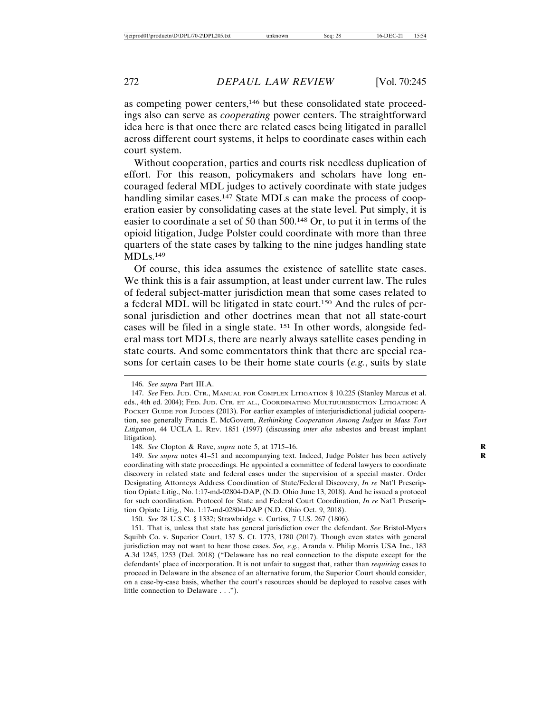as competing power centers,146 but these consolidated state proceedings also can serve as *cooperating* power centers. The straightforward idea here is that once there are related cases being litigated in parallel across different court systems, it helps to coordinate cases within each court system.

Without cooperation, parties and courts risk needless duplication of effort. For this reason, policymakers and scholars have long encouraged federal MDL judges to actively coordinate with state judges handling similar cases.<sup>147</sup> State MDLs can make the process of cooperation easier by consolidating cases at the state level. Put simply, it is easier to coordinate a set of 50 than 500.148 Or, to put it in terms of the opioid litigation, Judge Polster could coordinate with more than three quarters of the state cases by talking to the nine judges handling state MDLs.149

Of course, this idea assumes the existence of satellite state cases. We think this is a fair assumption, at least under current law. The rules of federal subject-matter jurisdiction mean that some cases related to a federal MDL will be litigated in state court.150 And the rules of personal jurisdiction and other doctrines mean that not all state-court cases will be filed in a single state. 151 In other words, alongside federal mass tort MDLs, there are nearly always satellite cases pending in state courts. And some commentators think that there are special reasons for certain cases to be their home state courts (*e.g.*, suits by state

150. *See* 28 U.S.C. § 1332; Strawbridge v. Curtiss, 7 U.S. 267 (1806).

<sup>146.</sup> *See supra* Part III.A.

<sup>147.</sup> *See* FED. JUD. CTR., MANUAL FOR COMPLEX LITIGATION § 10.225 (Stanley Marcus et al. eds., 4th ed. 2004); FED. JUD. CTR. ET AL., COORDINATING MULTIJURISDICTION LITIGATION: A POCKET GUIDE FOR JUDGES (2013). For earlier examples of interjurisdictional judicial cooperation, see generally Francis E. McGovern, *Rethinking Cooperation Among Judges in Mass Tort Litigation*, 44 UCLA L. REV. 1851 (1997) (discussing *inter alia* asbestos and breast implant litigation).

<sup>148.</sup> *See* Clopton & Rave, *supra* note 5, at 1715–16. **R**

<sup>149.</sup> *See supra* notes 41–51 and accompanying text. Indeed, Judge Polster has been actively **R** coordinating with state proceedings. He appointed a committee of federal lawyers to coordinate discovery in related state and federal cases under the supervision of a special master. Order Designating Attorneys Address Coordination of State/Federal Discovery, *In re* Nat'l Prescription Opiate Litig., No. 1:17-md-02804-DAP, (N.D. Ohio June 13, 2018). And he issued a protocol for such coordination. Protocol for State and Federal Court Coordination, *In re* Nat'l Prescription Opiate Litig., No. 1:17-md-02804-DAP (N.D. Ohio Oct. 9, 2018).

<sup>151.</sup> That is, unless that state has general jurisdiction over the defendant. *See* Bristol-Myers Squibb Co. v. Superior Court, 137 S. Ct. 1773, 1780 (2017). Though even states with general jurisdiction may not want to hear those cases. *See, e.g.*, Aranda v. Philip Morris USA Inc., 183 A.3d 1245, 1253 (Del. 2018) ("Delaware has no real connection to the dispute except for the defendants' place of incorporation. It is not unfair to suggest that, rather than *requiring* cases to proceed in Delaware in the absence of an alternative forum, the Superior Court should consider, on a case-by-case basis, whether the court's resources should be deployed to resolve cases with little connection to Delaware . . .").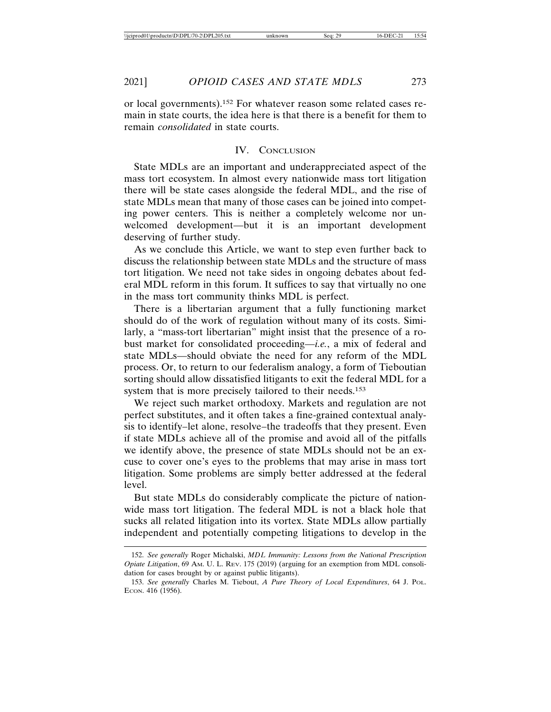or local governments).152 For whatever reason some related cases remain in state courts, the idea here is that there is a benefit for them to remain *consolidated* in state courts.

## IV. CONCLUSION

State MDLs are an important and underappreciated aspect of the mass tort ecosystem. In almost every nationwide mass tort litigation there will be state cases alongside the federal MDL, and the rise of state MDLs mean that many of those cases can be joined into competing power centers. This is neither a completely welcome nor unwelcomed development—but it is an important development deserving of further study.

As we conclude this Article, we want to step even further back to discuss the relationship between state MDLs and the structure of mass tort litigation. We need not take sides in ongoing debates about federal MDL reform in this forum. It suffices to say that virtually no one in the mass tort community thinks MDL is perfect.

There is a libertarian argument that a fully functioning market should do of the work of regulation without many of its costs. Similarly, a "mass-tort libertarian" might insist that the presence of a robust market for consolidated proceeding—*i.e.*, a mix of federal and state MDLs—should obviate the need for any reform of the MDL process. Or, to return to our federalism analogy, a form of Tieboutian sorting should allow dissatisfied litigants to exit the federal MDL for a system that is more precisely tailored to their needs.153

We reject such market orthodoxy. Markets and regulation are not perfect substitutes, and it often takes a fine-grained contextual analysis to identify–let alone, resolve–the tradeoffs that they present. Even if state MDLs achieve all of the promise and avoid all of the pitfalls we identify above, the presence of state MDLs should not be an excuse to cover one's eyes to the problems that may arise in mass tort litigation. Some problems are simply better addressed at the federal level.

But state MDLs do considerably complicate the picture of nationwide mass tort litigation. The federal MDL is not a black hole that sucks all related litigation into its vortex. State MDLs allow partially independent and potentially competing litigations to develop in the

<sup>152.</sup> *See generally* Roger Michalski, *MDL Immunity: Lessons from the National Prescription Opiate Litigation*, 69 AM. U. L. REV. 175 (2019) (arguing for an exemption from MDL consolidation for cases brought by or against public litigants).

<sup>153.</sup> *See generally* Charles M. Tiebout, *A Pure Theory of Local Expenditures*, 64 J. POL. ECON. 416 (1956).